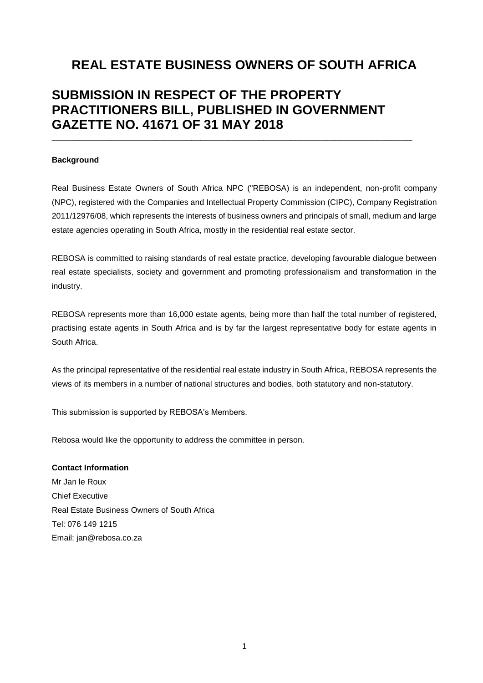# **REAL ESTATE BUSINESS OWNERS OF SOUTH AFRICA**

# **SUBMISSION IN RESPECT OF THE PROPERTY PRACTITIONERS BILL, PUBLISHED IN GOVERNMENT GAZETTE NO. 41671 OF 31 MAY 2018**

\_\_\_\_\_\_\_\_\_\_\_\_\_\_\_\_\_\_\_\_\_\_\_\_\_\_\_\_\_\_\_\_\_\_\_\_\_\_\_\_\_\_\_\_\_\_\_\_\_\_\_\_\_\_\_\_\_\_\_\_\_\_\_\_\_\_\_\_\_\_\_\_\_\_\_\_\_\_\_\_

#### **Background**

Real Business Estate Owners of South Africa NPC ("REBOSA) is an independent, non-profit company (NPC), registered with the Companies and Intellectual Property Commission (CIPC), Company Registration 2011/12976/08, which represents the interests of business owners and principals of small, medium and large estate agencies operating in South Africa, mostly in the residential real estate sector.

REBOSA is committed to raising standards of real estate practice, developing favourable dialogue between real estate specialists, society and government and promoting professionalism and transformation in the industry.

REBOSA represents more than 16,000 estate agents, being more than half the total number of registered, practising estate agents in South Africa and is by far the largest representative body for estate agents in South Africa.

As the principal representative of the residential real estate industry in South Africa, REBOSA represents the views of its members in a number of national structures and bodies, both statutory and non-statutory.

This submission is supported by REBOSA's Members.

Rebosa would like the opportunity to address the committee in person.

**Contact Information** Mr Jan le Roux Chief Executive Real Estate Business Owners of South Africa Tel: 076 149 1215 Email: [jan@rebosa.co.za](mailto:jan@rebosa.co.za)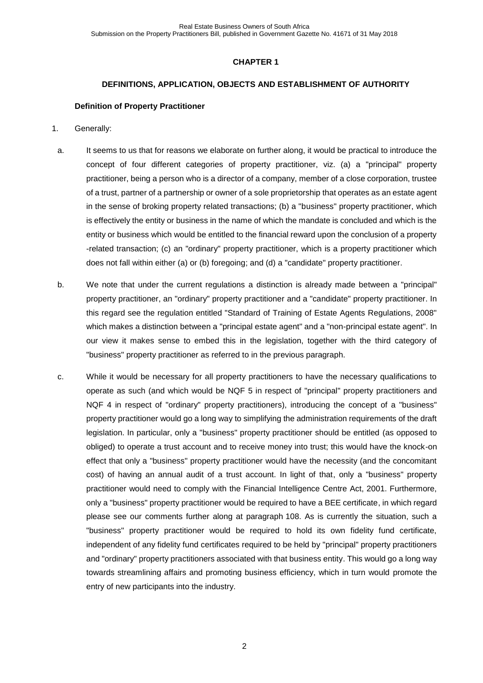## **DEFINITIONS, APPLICATION, OBJECTS AND ESTABLISHMENT OF AUTHORITY**

#### **Definition of Property Practitioner**

- <span id="page-1-3"></span>1. Generally:
- <span id="page-1-0"></span>a. It seems to us that for reasons we elaborate on further along, it would be practical to introduce the concept of four different categories of property practitioner, viz. (a) a "principal" property practitioner, being a person who is a director of a company, member of a close corporation, trustee of a trust, partner of a partnership or owner of a sole proprietorship that operates as an estate agent in the sense of broking property related transactions; (b) a "business" property practitioner, which is effectively the entity or business in the name of which the mandate is concluded and which is the entity or business which would be entitled to the financial reward upon the conclusion of a property -related transaction; (c) an "ordinary" property practitioner, which is a property practitioner which does not fall within either (a) or (b) foregoing; and (d) a "candidate" property practitioner.
- <span id="page-1-1"></span>b. We note that under the current regulations a distinction is already made between a "principal" property practitioner, an "ordinary" property practitioner and a "candidate" property practitioner. In this regard see the regulation entitled "Standard of Training of Estate Agents Regulations, 2008" which makes a distinction between a "principal estate agent" and a "non-principal estate agent". In our view it makes sense to embed this in the legislation, together with the third category of "business" property practitioner as referred to in the previous paragraph.
- <span id="page-1-2"></span>c. While it would be necessary for all property practitioners to have the necessary qualifications to operate as such (and which would be NQF 5 in respect of "principal" property practitioners and NQF 4 in respect of "ordinary" property practitioners), introducing the concept of a "business" property practitioner would go a long way to simplifying the administration requirements of the draft legislation. In particular, only a "business" property practitioner should be entitled (as opposed to obliged) to operate a trust account and to receive money into trust; this would have the knock-on effect that only a "business" property practitioner would have the necessity (and the concomitant cost) of having an annual audit of a trust account. In light of that, only a "business" property practitioner would need to comply with the Financial Intelligence Centre Act, 2001. Furthermore, only a "business" property practitioner would be required to have a BEE certificate, in which regard please see our comments further along at paragraph [108.](#page-27-0) As is currently the situation, such a "business" property practitioner would be required to hold its own fidelity fund certificate, independent of any fidelity fund certificates required to be held by "principal" property practitioners and "ordinary" property practitioners associated with that business entity. This would go a long way towards streamlining affairs and promoting business efficiency, which in turn would promote the entry of new participants into the industry.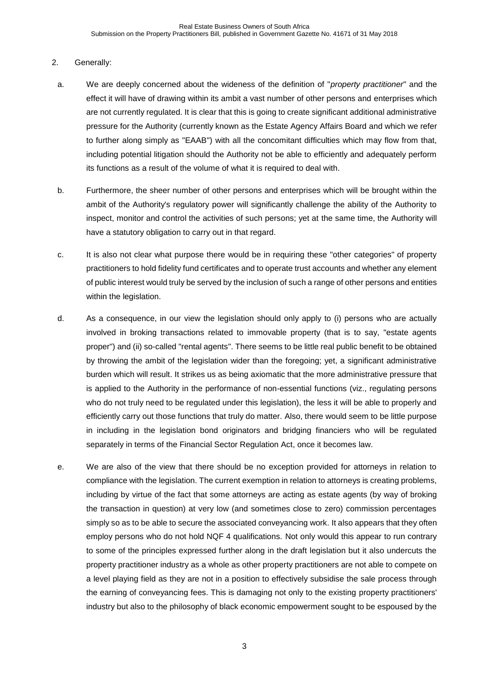# 2. Generally:

- a. We are deeply concerned about the wideness of the definition of "*property practitioner*" and the effect it will have of drawing within its ambit a vast number of other persons and enterprises which are not currently regulated. It is clear that this is going to create significant additional administrative pressure for the Authority (currently known as the Estate Agency Affairs Board and which we refer to further along simply as "EAAB") with all the concomitant difficulties which may flow from that, including potential litigation should the Authority not be able to efficiently and adequately perform its functions as a result of the volume of what it is required to deal with.
- b. Furthermore, the sheer number of other persons and enterprises which will be brought within the ambit of the Authority's regulatory power will significantly challenge the ability of the Authority to inspect, monitor and control the activities of such persons; yet at the same time, the Authority will have a statutory obligation to carry out in that regard.
- c. It is also not clear what purpose there would be in requiring these "other categories" of property practitioners to hold fidelity fund certificates and to operate trust accounts and whether any element of public interest would truly be served by the inclusion of such a range of other persons and entities within the legislation.
- d. As a consequence, in our view the legislation should only apply to (i) persons who are actually involved in broking transactions related to immovable property (that is to say, "estate agents proper") and (ii) so-called "rental agents". There seems to be little real public benefit to be obtained by throwing the ambit of the legislation wider than the foregoing; yet, a significant administrative burden which will result. It strikes us as being axiomatic that the more administrative pressure that is applied to the Authority in the performance of non-essential functions (viz., regulating persons who do not truly need to be regulated under this legislation), the less it will be able to properly and efficiently carry out those functions that truly do matter. Also, there would seem to be little purpose in including in the legislation bond originators and bridging financiers who will be regulated separately in terms of the Financial Sector Regulation Act, once it becomes law.
- <span id="page-2-0"></span>e. We are also of the view that there should be no exception provided for attorneys in relation to compliance with the legislation. The current exemption in relation to attorneys is creating problems, including by virtue of the fact that some attorneys are acting as estate agents (by way of broking the transaction in question) at very low (and sometimes close to zero) commission percentages simply so as to be able to secure the associated conveyancing work. It also appears that they often employ persons who do not hold NQF 4 qualifications. Not only would this appear to run contrary to some of the principles expressed further along in the draft legislation but it also undercuts the property practitioner industry as a whole as other property practitioners are not able to compete on a level playing field as they are not in a position to effectively subsidise the sale process through the earning of conveyancing fees. This is damaging not only to the existing property practitioners' industry but also to the philosophy of black economic empowerment sought to be espoused by the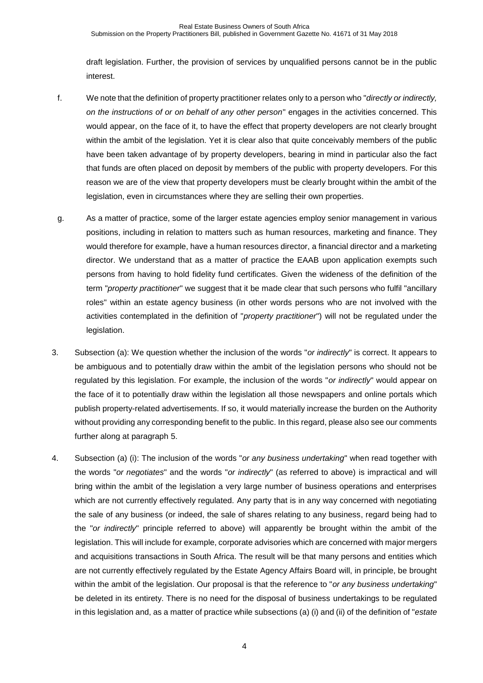draft legislation. Further, the provision of services by unqualified persons cannot be in the public interest.

- f. We note that the definition of property practitioner relates only to a person who "*directly or indirectly, on the instructions of or on behalf of any other person*" engages in the activities concerned. This would appear, on the face of it, to have the effect that property developers are not clearly brought within the ambit of the legislation. Yet it is clear also that quite conceivably members of the public have been taken advantage of by property developers, bearing in mind in particular also the fact that funds are often placed on deposit by members of the public with property developers. For this reason we are of the view that property developers must be clearly brought within the ambit of the legislation, even in circumstances where they are selling their own properties.
- <span id="page-3-0"></span>g. As a matter of practice, some of the larger estate agencies employ senior management in various positions, including in relation to matters such as human resources, marketing and finance. They would therefore for example, have a human resources director, a financial director and a marketing director. We understand that as a matter of practice the EAAB upon application exempts such persons from having to hold fidelity fund certificates. Given the wideness of the definition of the term "*property practitioner*" we suggest that it be made clear that such persons who fulfil "ancillary roles" within an estate agency business (in other words persons who are not involved with the activities contemplated in the definition of "*property practitioner*") will not be regulated under the legislation.
- 3. Subsection (a): We question whether the inclusion of the words "*or indirectly*" is correct. It appears to be ambiguous and to potentially draw within the ambit of the legislation persons who should not be regulated by this legislation. For example, the inclusion of the words "*or indirectly*" would appear on the face of it to potentially draw within the legislation all those newspapers and online portals which publish property-related advertisements. If so, it would materially increase the burden on the Authority without providing any corresponding benefit to the public. In this regard, please also see our comments further along at paragraph [5.](#page-4-0)
- 4. Subsection (a) (i): The inclusion of the words "*or any business undertaking*" when read together with the words "*or negotiates*" and the words "*or indirectly*" (as referred to above) is impractical and will bring within the ambit of the legislation a very large number of business operations and enterprises which are not currently effectively regulated. Any party that is in any way concerned with negotiating the sale of any business (or indeed, the sale of shares relating to any business, regard being had to the "*or indirectly*" principle referred to above) will apparently be brought within the ambit of the legislation. This will include for example, corporate advisories which are concerned with major mergers and acquisitions transactions in South Africa. The result will be that many persons and entities which are not currently effectively regulated by the Estate Agency Affairs Board will, in principle, be brought within the ambit of the legislation. Our proposal is that the reference to "*or any business undertaking*" be deleted in its entirety. There is no need for the disposal of business undertakings to be regulated in this legislation and, as a matter of practice while subsections (a) (i) and (ii) of the definition of "*estate*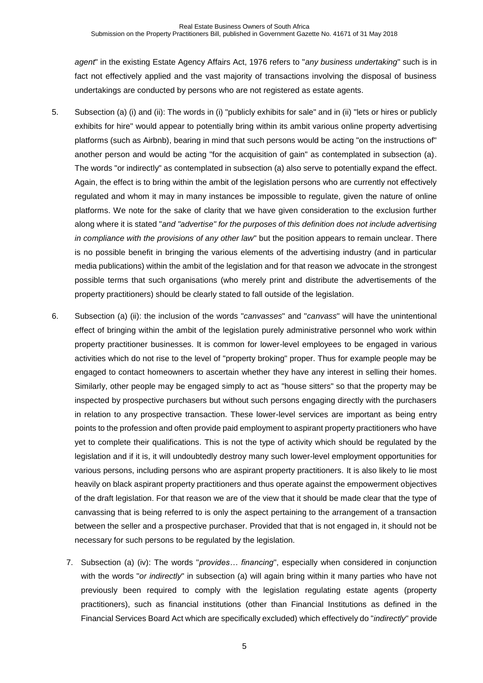*agent*" in the existing Estate Agency Affairs Act, 1976 refers to "*any business undertaking*" such is in fact not effectively applied and the vast majority of transactions involving the disposal of business undertakings are conducted by persons who are not registered as estate agents.

- <span id="page-4-0"></span>5. Subsection (a) (i) and (ii): The words in (i) "publicly exhibits for sale" and in (ii) "lets or hires or publicly exhibits for hire" would appear to potentially bring within its ambit various online property advertising platforms (such as Airbnb), bearing in mind that such persons would be acting "on the instructions of" another person and would be acting "for the acquisition of gain" as contemplated in subsection (a). The words "or indirectly" as contemplated in subsection (a) also serve to potentially expand the effect. Again, the effect is to bring within the ambit of the legislation persons who are currently not effectively regulated and whom it may in many instances be impossible to regulate, given the nature of online platforms. We note for the sake of clarity that we have given consideration to the exclusion further along where it is stated "*and "advertise" for the purposes of this definition does not include advertising in compliance with the provisions of any other law*" but the position appears to remain unclear. There is no possible benefit in bringing the various elements of the advertising industry (and in particular media publications) within the ambit of the legislation and for that reason we advocate in the strongest possible terms that such organisations (who merely print and distribute the advertisements of the property practitioners) should be clearly stated to fall outside of the legislation.
- 6. Subsection (a) (ii): the inclusion of the words "*canvasses*" and "*canvass*" will have the unintentional effect of bringing within the ambit of the legislation purely administrative personnel who work within property practitioner businesses. It is common for lower-level employees to be engaged in various activities which do not rise to the level of "property broking" proper. Thus for example people may be engaged to contact homeowners to ascertain whether they have any interest in selling their homes. Similarly, other people may be engaged simply to act as "house sitters" so that the property may be inspected by prospective purchasers but without such persons engaging directly with the purchasers in relation to any prospective transaction. These lower-level services are important as being entry points to the profession and often provide paid employment to aspirant property practitioners who have yet to complete their qualifications. This is not the type of activity which should be regulated by the legislation and if it is, it will undoubtedly destroy many such lower-level employment opportunities for various persons, including persons who are aspirant property practitioners. It is also likely to lie most heavily on black aspirant property practitioners and thus operate against the empowerment objectives of the draft legislation. For that reason we are of the view that it should be made clear that the type of canvassing that is being referred to is only the aspect pertaining to the arrangement of a transaction between the seller and a prospective purchaser. Provided that that is not engaged in, it should not be necessary for such persons to be regulated by the legislation.
	- 7. Subsection (a) (iv): The words "*provides… financing*", especially when considered in conjunction with the words "*or indirectly*" in subsection (a) will again bring within it many parties who have not previously been required to comply with the legislation regulating estate agents (property practitioners), such as financial institutions (other than Financial Institutions as defined in the Financial Services Board Act which are specifically excluded) which effectively do "*indirectly*" provide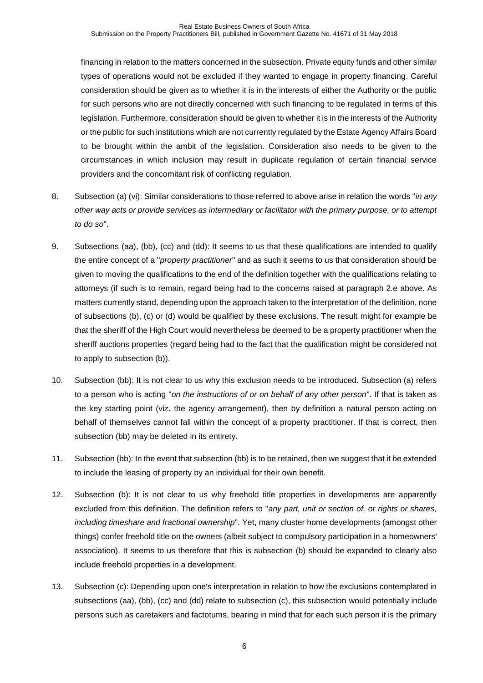financing in relation to the matters concerned in the subsection. Private equity funds and other similar types of operations would not be excluded if they wanted to engage in property financing. Careful consideration should be given as to whether it is in the interests of either the Authority or the public for such persons who are not directly concerned with such financing to be regulated in terms of this legislation. Furthermore, consideration should be given to whether it is in the interests of the Authority or the public for such institutions which are not currently regulated by the Estate Agency Affairs Board to be brought within the ambit of the legislation. Consideration also needs to be given to the circumstances in which inclusion may result in duplicate regulation of certain financial service providers and the concomitant risk of conflicting regulation.

- 8. Subsection (a) (vi): Similar considerations to those referred to above arise in relation the words "*in any other way acts or provide services as intermediary or facilitator with the primary purpose, or to attempt to do so*".
- 9. Subsections (aa), (bb), (cc) and (dd): It seems to us that these qualifications are intended to qualify the entire concept of a "*property practitioner*" and as such it seems to us that consideration should be given to moving the qualifications to the end of the definition together with the qualifications relating to attorneys (if such is to remain, regard being had to the concerns raised at paragraph [2.e](#page-2-0) above. As matters currently stand, depending upon the approach taken to the interpretation of the definition, none of subsections (b), (c) or (d) would be qualified by these exclusions. The result might for example be that the sheriff of the High Court would nevertheless be deemed to be a property practitioner when the sheriff auctions properties (regard being had to the fact that the qualification might be considered not to apply to subsection (b)).
- 10. Subsection (bb): It is not clear to us why this exclusion needs to be introduced. Subsection (a) refers to a person who is acting "*on the instructions of or on behalf of any other person*". If that is taken as the key starting point (viz. the agency arrangement), then by definition a natural person acting on behalf of themselves cannot fall within the concept of a property practitioner. If that is correct, then subsection (bb) may be deleted in its entirety.
- 11. Subsection (bb): In the event that subsection (bb) is to be retained, then we suggest that it be extended to include the leasing of property by an individual for their own benefit.
- 12. Subsection (b): It is not clear to us why freehold title properties in developments are apparently excluded from this definition. The definition refers to "*any part, unit or section of, or rights or shares, including timeshare and fractional ownership*". Yet, many cluster home developments (amongst other things) confer freehold title on the owners (albeit subject to compulsory participation in a homeowners' association). It seems to us therefore that this is subsection (b) should be expanded to clearly also include freehold properties in a development.
- 13. Subsection (c): Depending upon one's interpretation in relation to how the exclusions contemplated in subsections (aa), (bb), (cc) and (dd) relate to subsection (c), this subsection would potentially include persons such as caretakers and factotums, bearing in mind that for each such person it is the primary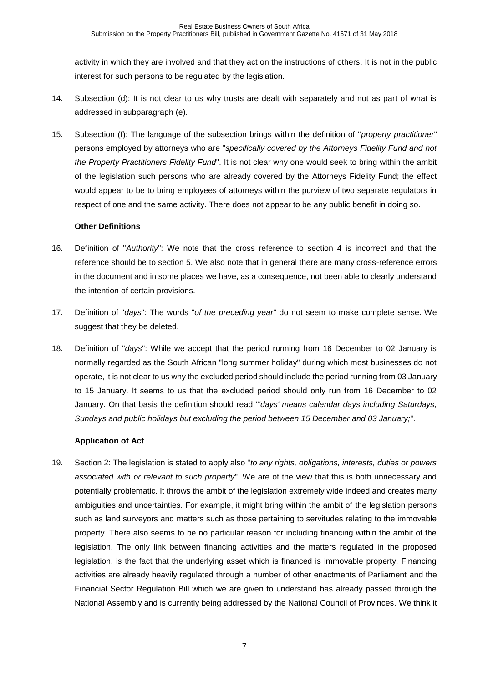activity in which they are involved and that they act on the instructions of others. It is not in the public interest for such persons to be regulated by the legislation.

- 14. Subsection (d): It is not clear to us why trusts are dealt with separately and not as part of what is addressed in subparagraph (e).
- 15. Subsection (f): The language of the subsection brings within the definition of "*property practitioner*" persons employed by attorneys who are "*specifically covered by the Attorneys Fidelity Fund and not the Property Practitioners Fidelity Fund*". It is not clear why one would seek to bring within the ambit of the legislation such persons who are already covered by the Attorneys Fidelity Fund; the effect would appear to be to bring employees of attorneys within the purview of two separate regulators in respect of one and the same activity. There does not appear to be any public benefit in doing so.

## **Other Definitions**

- 16. Definition of "*Authority*": We note that the cross reference to section 4 is incorrect and that the reference should be to section 5. We also note that in general there are many cross-reference errors in the document and in some places we have, as a consequence, not been able to clearly understand the intention of certain provisions.
- 17. Definition of "*days*": The words "*of the preceding year*" do not seem to make complete sense. We suggest that they be deleted.
- 18. Definition of "*days*": While we accept that the period running from 16 December to 02 January is normally regarded as the South African "long summer holiday" during which most businesses do not operate, it is not clear to us why the excluded period should include the period running from 03 January to 15 January. It seems to us that the excluded period should only run from 16 December to 02 January. On that basis the definition should read "*'days' means calendar days including Saturdays, Sundays and public holidays but excluding the period between 15 December and 03 January;*".

# **Application of Act**

19. Section 2: The legislation is stated to apply also "*to any rights, obligations, interests, duties or powers associated with or relevant to such property*". We are of the view that this is both unnecessary and potentially problematic. It throws the ambit of the legislation extremely wide indeed and creates many ambiguities and uncertainties. For example, it might bring within the ambit of the legislation persons such as land surveyors and matters such as those pertaining to servitudes relating to the immovable property. There also seems to be no particular reason for including financing within the ambit of the legislation. The only link between financing activities and the matters regulated in the proposed legislation, is the fact that the underlying asset which is financed is immovable property. Financing activities are already heavily regulated through a number of other enactments of Parliament and the Financial Sector Regulation Bill which we are given to understand has already passed through the National Assembly and is currently being addressed by the National Council of Provinces. We think it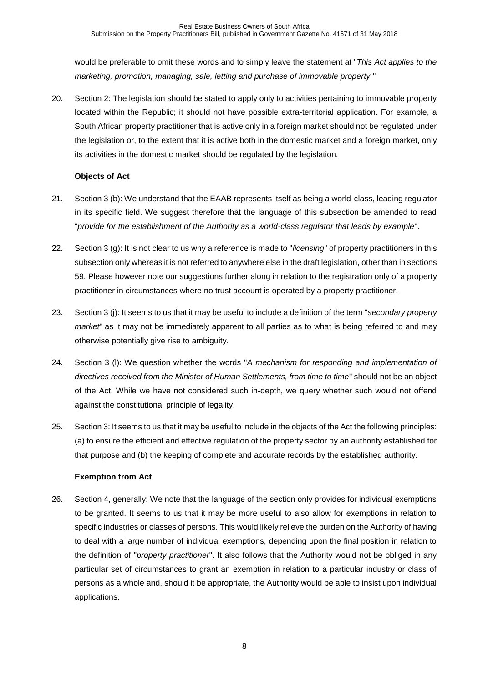would be preferable to omit these words and to simply leave the statement at "*This Act applies to the marketing, promotion, managing, sale, letting and purchase of immovable property.*"

20. Section 2: The legislation should be stated to apply only to activities pertaining to immovable property located within the Republic; it should not have possible extra-territorial application. For example, a South African property practitioner that is active only in a foreign market should not be regulated under the legislation or, to the extent that it is active both in the domestic market and a foreign market, only its activities in the domestic market should be regulated by the legislation.

# **Objects of Act**

- 21. Section 3 (b): We understand that the EAAB represents itself as being a world-class, leading regulator in its specific field. We suggest therefore that the language of this subsection be amended to read "*provide for the establishment of the Authority as a world-class regulator that leads by example*".
- 22. Section 3 (g): It is not clear to us why a reference is made to "*licensing*" of property practitioners in this subsection only whereas it is not referred to anywhere else in the draft legislation, other than in sections 59. Please however note our suggestions further along in relation to the registration only of a property practitioner in circumstances where no trust account is operated by a property practitioner.
- 23. Section 3 (j): It seems to us that it may be useful to include a definition of the term "*secondary property market*" as it may not be immediately apparent to all parties as to what is being referred to and may otherwise potentially give rise to ambiguity.
- 24. Section 3 (l): We question whether the words "*A mechanism for responding and implementation of directives received from the Minister of Human Settlements, from time to time*" should not be an object of the Act. While we have not considered such in-depth, we query whether such would not offend against the constitutional principle of legality.
- 25. Section 3: It seems to us that it may be useful to include in the objects of the Act the following principles: (a) to ensure the efficient and effective regulation of the property sector by an authority established for that purpose and (b) the keeping of complete and accurate records by the established authority.

# **Exemption from Act**

26. Section 4, generally: We note that the language of the section only provides for individual exemptions to be granted. It seems to us that it may be more useful to also allow for exemptions in relation to specific industries or classes of persons. This would likely relieve the burden on the Authority of having to deal with a large number of individual exemptions, depending upon the final position in relation to the definition of "*property practitioner*". It also follows that the Authority would not be obliged in any particular set of circumstances to grant an exemption in relation to a particular industry or class of persons as a whole and, should it be appropriate, the Authority would be able to insist upon individual applications.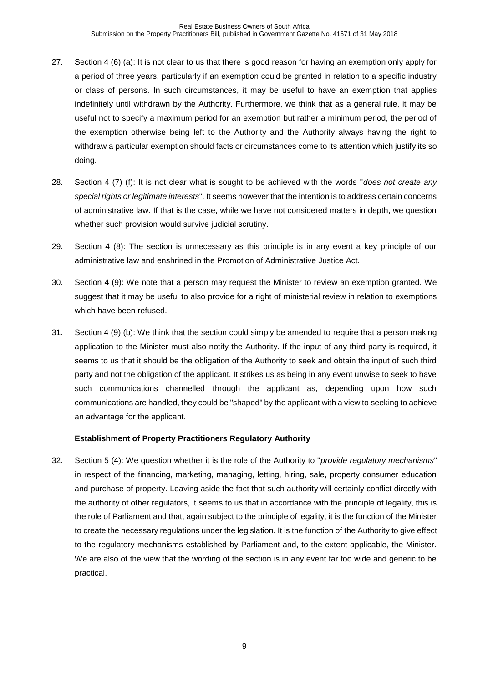- 27. Section 4 (6) (a): It is not clear to us that there is good reason for having an exemption only apply for a period of three years, particularly if an exemption could be granted in relation to a specific industry or class of persons. In such circumstances, it may be useful to have an exemption that applies indefinitely until withdrawn by the Authority. Furthermore, we think that as a general rule, it may be useful not to specify a maximum period for an exemption but rather a minimum period, the period of the exemption otherwise being left to the Authority and the Authority always having the right to withdraw a particular exemption should facts or circumstances come to its attention which justify its so doing.
- 28. Section 4 (7) (f): It is not clear what is sought to be achieved with the words "*does not create any special rights or legitimate interests*". It seems however that the intention is to address certain concerns of administrative law. If that is the case, while we have not considered matters in depth, we question whether such provision would survive judicial scrutiny.
- 29. Section 4 (8): The section is unnecessary as this principle is in any event a key principle of our administrative law and enshrined in the Promotion of Administrative Justice Act.
- 30. Section 4 (9): We note that a person may request the Minister to review an exemption granted. We suggest that it may be useful to also provide for a right of ministerial review in relation to exemptions which have been refused.
- 31. Section 4 (9) (b): We think that the section could simply be amended to require that a person making application to the Minister must also notify the Authority. If the input of any third party is required, it seems to us that it should be the obligation of the Authority to seek and obtain the input of such third party and not the obligation of the applicant. It strikes us as being in any event unwise to seek to have such communications channelled through the applicant as, depending upon how such communications are handled, they could be "shaped" by the applicant with a view to seeking to achieve an advantage for the applicant.

# **Establishment of Property Practitioners Regulatory Authority**

32. Section 5 (4): We question whether it is the role of the Authority to "*provide regulatory mechanisms*" in respect of the financing, marketing, managing, letting, hiring, sale, property consumer education and purchase of property. Leaving aside the fact that such authority will certainly conflict directly with the authority of other regulators, it seems to us that in accordance with the principle of legality, this is the role of Parliament and that, again subject to the principle of legality, it is the function of the Minister to create the necessary regulations under the legislation. It is the function of the Authority to give effect to the regulatory mechanisms established by Parliament and, to the extent applicable, the Minister. We are also of the view that the wording of the section is in any event far too wide and generic to be practical.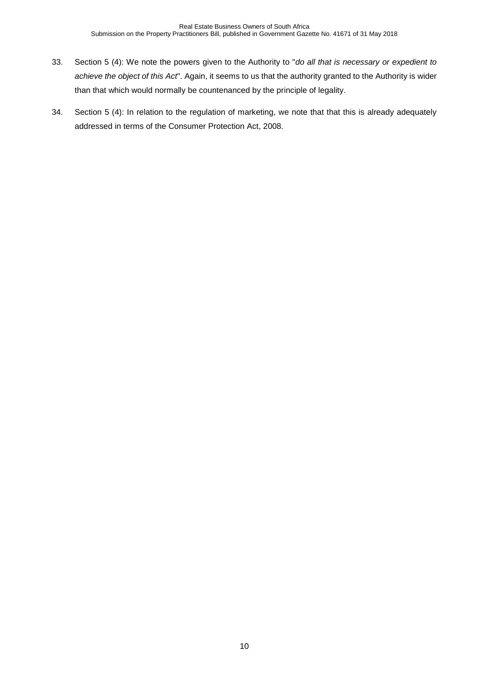- 33. Section 5 (4): We note the powers given to the Authority to "*do all that is necessary or expedient to achieve the object of this Act*". Again, it seems to us that the authority granted to the Authority is wider than that which would normally be countenanced by the principle of legality.
- 34. Section 5 (4): In relation to the regulation of marketing, we note that that this is already adequately addressed in terms of the Consumer Protection Act, 2008.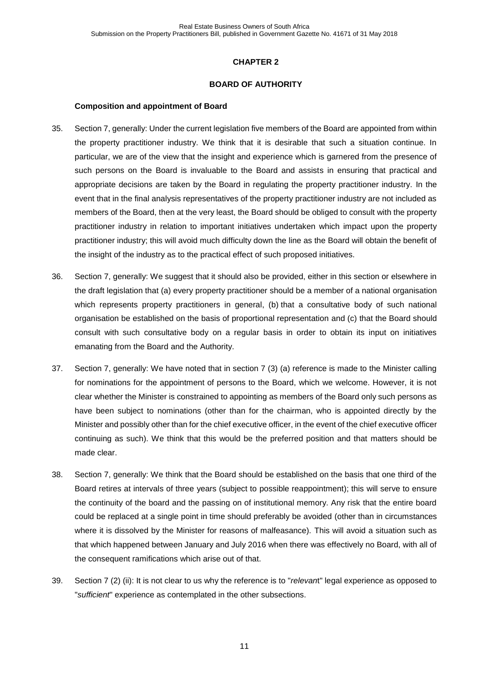#### **BOARD OF AUTHORITY**

#### **Composition and appointment of Board**

- 35. Section 7, generally: Under the current legislation five members of the Board are appointed from within the property practitioner industry. We think that it is desirable that such a situation continue. In particular, we are of the view that the insight and experience which is garnered from the presence of such persons on the Board is invaluable to the Board and assists in ensuring that practical and appropriate decisions are taken by the Board in regulating the property practitioner industry. In the event that in the final analysis representatives of the property practitioner industry are not included as members of the Board, then at the very least, the Board should be obliged to consult with the property practitioner industry in relation to important initiatives undertaken which impact upon the property practitioner industry; this will avoid much difficulty down the line as the Board will obtain the benefit of the insight of the industry as to the practical effect of such proposed initiatives.
- <span id="page-10-0"></span>36. Section 7, generally: We suggest that it should also be provided, either in this section or elsewhere in the draft legislation that (a) every property practitioner should be a member of a national organisation which represents property practitioners in general, (b) that a consultative body of such national organisation be established on the basis of proportional representation and (c) that the Board should consult with such consultative body on a regular basis in order to obtain its input on initiatives emanating from the Board and the Authority.
- 37. Section 7, generally: We have noted that in section 7 (3) (a) reference is made to the Minister calling for nominations for the appointment of persons to the Board, which we welcome. However, it is not clear whether the Minister is constrained to appointing as members of the Board only such persons as have been subject to nominations (other than for the chairman, who is appointed directly by the Minister and possibly other than for the chief executive officer, in the event of the chief executive officer continuing as such). We think that this would be the preferred position and that matters should be made clear.
- 38. Section 7, generally: We think that the Board should be established on the basis that one third of the Board retires at intervals of three years (subject to possible reappointment); this will serve to ensure the continuity of the board and the passing on of institutional memory. Any risk that the entire board could be replaced at a single point in time should preferably be avoided (other than in circumstances where it is dissolved by the Minister for reasons of malfeasance). This will avoid a situation such as that which happened between January and July 2016 when there was effectively no Board, with all of the consequent ramifications which arise out of that.
- 39. Section 7 (2) (ii): It is not clear to us why the reference is to "*relevan*t" legal experience as opposed to "*sufficient*" experience as contemplated in the other subsections.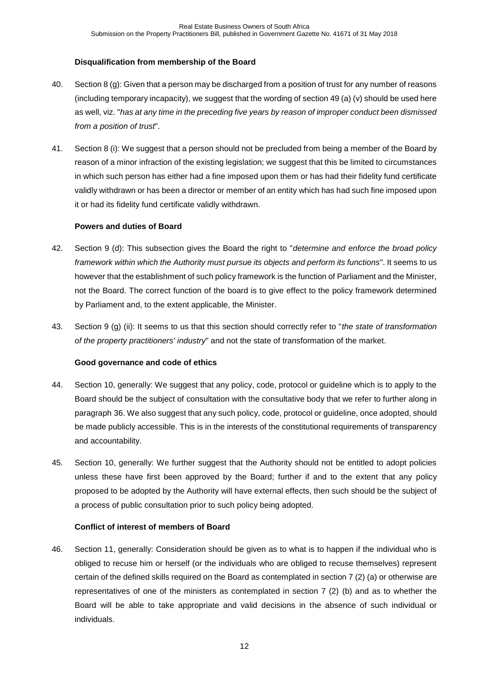# **Disqualification from membership of the Board**

- 40. Section 8 (g): Given that a person may be discharged from a position of trust for any number of reasons (including temporary incapacity), we suggest that the wording of section 49 (a) (v) should be used here as well, viz. "*has at any time in the preceding five years by reason of improper conduct been dismissed from a position of trust*".
- 41. Section 8 (i): We suggest that a person should not be precluded from being a member of the Board by reason of a minor infraction of the existing legislation; we suggest that this be limited to circumstances in which such person has either had a fine imposed upon them or has had their fidelity fund certificate validly withdrawn or has been a director or member of an entity which has had such fine imposed upon it or had its fidelity fund certificate validly withdrawn.

## **Powers and duties of Board**

- 42. Section 9 (d): This subsection gives the Board the right to "*determine and enforce the broad policy framework within which the Authority must pursue its objects and perform its functions*". It seems to us however that the establishment of such policy framework is the function of Parliament and the Minister, not the Board. The correct function of the board is to give effect to the policy framework determined by Parliament and, to the extent applicable, the Minister.
- 43. Section 9 (g) (ii): It seems to us that this section should correctly refer to "*the state of transformation of the property practitioners' industry*" and not the state of transformation of the market.

# **Good governance and code of ethics**

- 44. Section 10, generally: We suggest that any policy, code, protocol or guideline which is to apply to the Board should be the subject of consultation with the consultative body that we refer to further along in paragraph [36.](#page-10-0) We also suggest that any such policy, code, protocol or guideline, once adopted, should be made publicly accessible. This is in the interests of the constitutional requirements of transparency and accountability.
- 45. Section 10, generally: We further suggest that the Authority should not be entitled to adopt policies unless these have first been approved by the Board; further if and to the extent that any policy proposed to be adopted by the Authority will have external effects, then such should be the subject of a process of public consultation prior to such policy being adopted.

# **Conflict of interest of members of Board**

46. Section 11, generally: Consideration should be given as to what is to happen if the individual who is obliged to recuse him or herself (or the individuals who are obliged to recuse themselves) represent certain of the defined skills required on the Board as contemplated in section 7 (2) (a) or otherwise are representatives of one of the ministers as contemplated in section 7 (2) (b) and as to whether the Board will be able to take appropriate and valid decisions in the absence of such individual or individuals.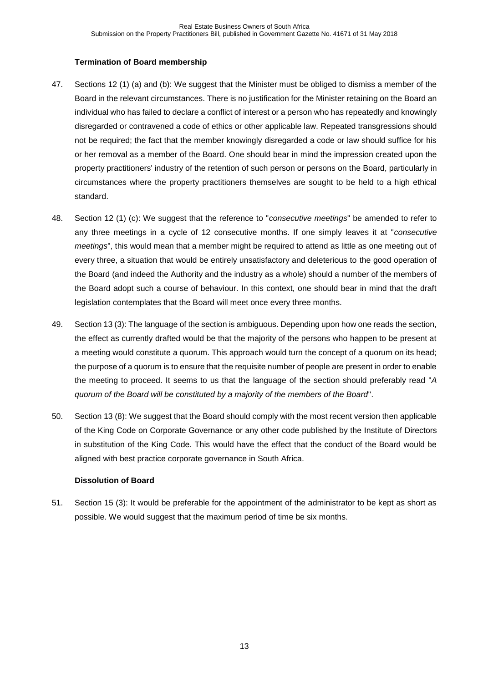## **Termination of Board membership**

- 47. Sections 12 (1) (a) and (b): We suggest that the Minister must be obliged to dismiss a member of the Board in the relevant circumstances. There is no justification for the Minister retaining on the Board an individual who has failed to declare a conflict of interest or a person who has repeatedly and knowingly disregarded or contravened a code of ethics or other applicable law. Repeated transgressions should not be required; the fact that the member knowingly disregarded a code or law should suffice for his or her removal as a member of the Board. One should bear in mind the impression created upon the property practitioners' industry of the retention of such person or persons on the Board, particularly in circumstances where the property practitioners themselves are sought to be held to a high ethical standard.
- 48. Section 12 (1) (c): We suggest that the reference to "*consecutive meetings*" be amended to refer to any three meetings in a cycle of 12 consecutive months. If one simply leaves it at "*consecutive meetings*", this would mean that a member might be required to attend as little as one meeting out of every three, a situation that would be entirely unsatisfactory and deleterious to the good operation of the Board (and indeed the Authority and the industry as a whole) should a number of the members of the Board adopt such a course of behaviour. In this context, one should bear in mind that the draft legislation contemplates that the Board will meet once every three months.
- 49. Section 13 (3): The language of the section is ambiguous. Depending upon how one reads the section, the effect as currently drafted would be that the majority of the persons who happen to be present at a meeting would constitute a quorum. This approach would turn the concept of a quorum on its head; the purpose of a quorum is to ensure that the requisite number of people are present in order to enable the meeting to proceed. It seems to us that the language of the section should preferably read "*A quorum of the Board will be constituted by a majority of the members of the Board*".
- 50. Section 13 (8): We suggest that the Board should comply with the most recent version then applicable of the King Code on Corporate Governance or any other code published by the Institute of Directors in substitution of the King Code. This would have the effect that the conduct of the Board would be aligned with best practice corporate governance in South Africa.

# **Dissolution of Board**

51. Section 15 (3): It would be preferable for the appointment of the administrator to be kept as short as possible. We would suggest that the maximum period of time be six months.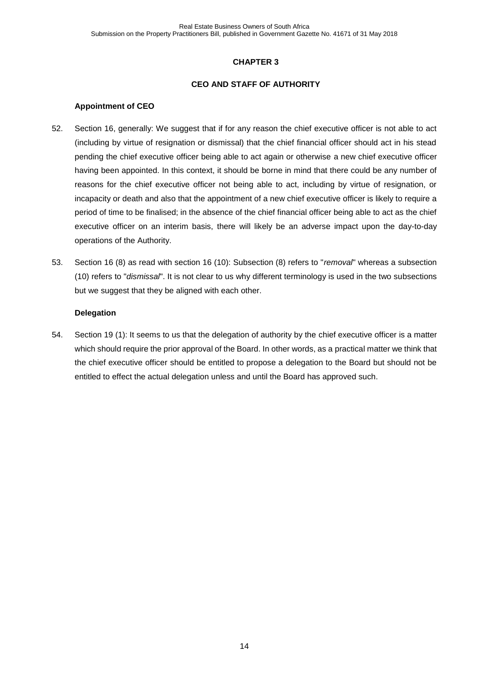#### **CEO AND STAFF OF AUTHORITY**

#### **Appointment of CEO**

- 52. Section 16, generally: We suggest that if for any reason the chief executive officer is not able to act (including by virtue of resignation or dismissal) that the chief financial officer should act in his stead pending the chief executive officer being able to act again or otherwise a new chief executive officer having been appointed. In this context, it should be borne in mind that there could be any number of reasons for the chief executive officer not being able to act, including by virtue of resignation, or incapacity or death and also that the appointment of a new chief executive officer is likely to require a period of time to be finalised; in the absence of the chief financial officer being able to act as the chief executive officer on an interim basis, there will likely be an adverse impact upon the day-to-day operations of the Authority.
- 53. Section 16 (8) as read with section 16 (10): Subsection (8) refers to "*removal*" whereas a subsection (10) refers to "*dismissal*". It is not clear to us why different terminology is used in the two subsections but we suggest that they be aligned with each other.

#### **Delegation**

54. Section 19 (1): It seems to us that the delegation of authority by the chief executive officer is a matter which should require the prior approval of the Board. In other words, as a practical matter we think that the chief executive officer should be entitled to propose a delegation to the Board but should not be entitled to effect the actual delegation unless and until the Board has approved such.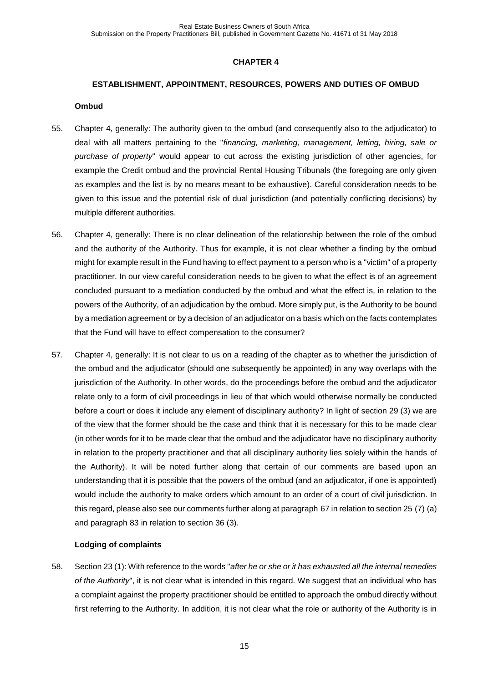#### **ESTABLISHMENT, APPOINTMENT, RESOURCES, POWERS AND DUTIES OF OMBUD**

#### **Ombud**

- <span id="page-14-1"></span>55. Chapter 4, generally: The authority given to the ombud (and consequently also to the adjudicator) to deal with all matters pertaining to the "*financing, marketing, management, letting, hiring, sale or purchase of property*" would appear to cut across the existing jurisdiction of other agencies, for example the Credit ombud and the provincial Rental Housing Tribunals (the foregoing are only given as examples and the list is by no means meant to be exhaustive). Careful consideration needs to be given to this issue and the potential risk of dual jurisdiction (and potentially conflicting decisions) by multiple different authorities.
- <span id="page-14-2"></span>56. Chapter 4, generally: There is no clear delineation of the relationship between the role of the ombud and the authority of the Authority. Thus for example, it is not clear whether a finding by the ombud might for example result in the Fund having to effect payment to a person who is a "victim" of a property practitioner. In our view careful consideration needs to be given to what the effect is of an agreement concluded pursuant to a mediation conducted by the ombud and what the effect is, in relation to the powers of the Authority, of an adjudication by the ombud. More simply put, is the Authority to be bound by a mediation agreement or by a decision of an adjudicator on a basis which on the facts contemplates that the Fund will have to effect compensation to the consumer?
- <span id="page-14-3"></span>57. Chapter 4, generally: It is not clear to us on a reading of the chapter as to whether the jurisdiction of the ombud and the adjudicator (should one subsequently be appointed) in any way overlaps with the jurisdiction of the Authority. In other words, do the proceedings before the ombud and the adjudicator relate only to a form of civil proceedings in lieu of that which would otherwise normally be conducted before a court or does it include any element of disciplinary authority? In light of section 29 (3) we are of the view that the former should be the case and think that it is necessary for this to be made clear (in other words for it to be made clear that the ombud and the adjudicator have no disciplinary authority in relation to the property practitioner and that all disciplinary authority lies solely within the hands of the Authority). It will be noted further along that certain of our comments are based upon an understanding that it is possible that the powers of the ombud (and an adjudicator, if one is appointed) would include the authority to make orders which amount to an order of a court of civil jurisdiction. In this regard, please also see our comments further along at paragraph [67](#page-16-0) in relation to section 25 (7) (a) and paragraph [83](#page-20-0) in relation to section 36 (3).

#### **Lodging of complaints**

<span id="page-14-0"></span>58. Section 23 (1): With reference to the words "*after he or she or it has exhausted all the internal remedies of the Authority*", it is not clear what is intended in this regard. We suggest that an individual who has a complaint against the property practitioner should be entitled to approach the ombud directly without first referring to the Authority. In addition, it is not clear what the role or authority of the Authority is in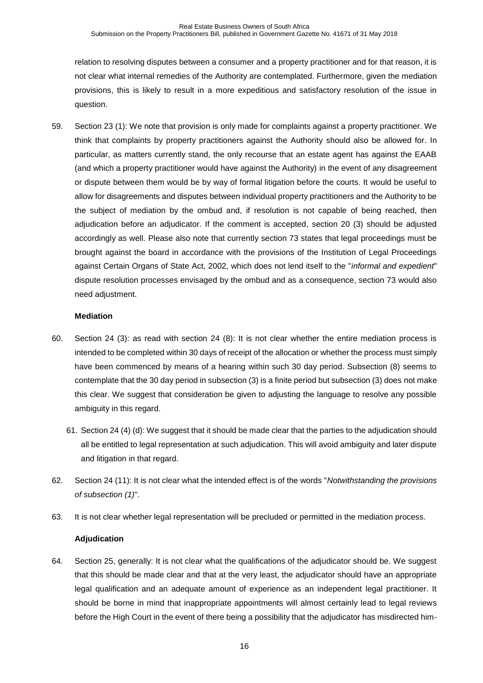relation to resolving disputes between a consumer and a property practitioner and for that reason, it is not clear what internal remedies of the Authority are contemplated. Furthermore, given the mediation provisions, this is likely to result in a more expeditious and satisfactory resolution of the issue in question.

59. Section 23 (1): We note that provision is only made for complaints against a property practitioner. We think that complaints by property practitioners against the Authority should also be allowed for. In particular, as matters currently stand, the only recourse that an estate agent has against the EAAB (and which a property practitioner would have against the Authority) in the event of any disagreement or dispute between them would be by way of formal litigation before the courts. It would be useful to allow for disagreements and disputes between individual property practitioners and the Authority to be the subject of mediation by the ombud and, if resolution is not capable of being reached, then adjudication before an adjudicator. If the comment is accepted, section 20 (3) should be adjusted accordingly as well. Please also note that currently section 73 states that legal proceedings must be brought against the board in accordance with the provisions of the Institution of Legal Proceedings against Certain Organs of State Act, 2002, which does not lend itself to the "*informal and expedient*" dispute resolution processes envisaged by the ombud and as a consequence, section 73 would also need adjustment.

# **Mediation**

- 60. Section 24 (3): as read with section 24 (8): It is not clear whether the entire mediation process is intended to be completed within 30 days of receipt of the allocation or whether the process must simply have been commenced by means of a hearing within such 30 day period. Subsection (8) seems to contemplate that the 30 day period in subsection (3) is a finite period but subsection (3) does not make this clear. We suggest that consideration be given to adjusting the language to resolve any possible ambiguity in this regard.
	- 61. Section 24 (4) (d): We suggest that it should be made clear that the parties to the adjudication should all be entitled to legal representation at such adjudication. This will avoid ambiguity and later dispute and litigation in that regard.
- 62. Section 24 (11): It is not clear what the intended effect is of the words "*Notwithstanding the provisions of subsection (1)*".
- 63. It is not clear whether legal representation will be precluded or permitted in the mediation process.

# **Adjudication**

64. Section 25, generally: It is not clear what the qualifications of the adjudicator should be. We suggest that this should be made clear and that at the very least, the adjudicator should have an appropriate legal qualification and an adequate amount of experience as an independent legal practitioner. It should be borne in mind that inappropriate appointments will almost certainly lead to legal reviews before the High Court in the event of there being a possibility that the adjudicator has misdirected him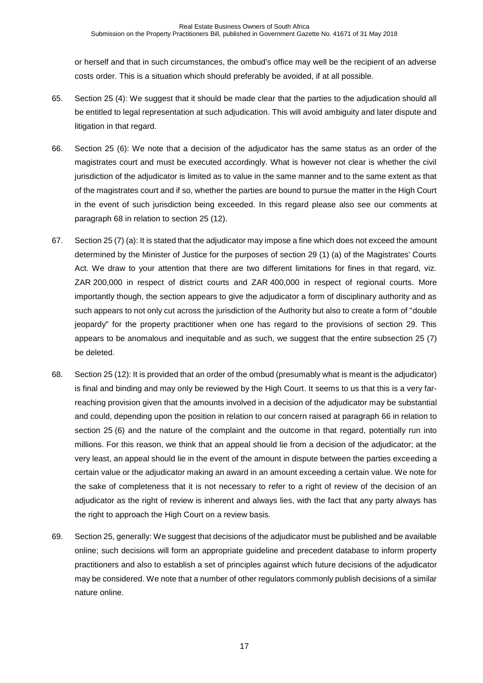or herself and that in such circumstances, the ombud's office may well be the recipient of an adverse costs order. This is a situation which should preferably be avoided, if at all possible.

- 65. Section 25 (4): We suggest that it should be made clear that the parties to the adjudication should all be entitled to legal representation at such adjudication. This will avoid ambiguity and later dispute and litigation in that regard.
- <span id="page-16-2"></span>66. Section 25 (6): We note that a decision of the adjudicator has the same status as an order of the magistrates court and must be executed accordingly. What is however not clear is whether the civil jurisdiction of the adjudicator is limited as to value in the same manner and to the same extent as that of the magistrates court and if so, whether the parties are bound to pursue the matter in the High Court in the event of such jurisdiction being exceeded. In this regard please also see our comments at paragraph [68](#page-16-1) in relation to section 25 (12).
- <span id="page-16-0"></span>67. Section 25 (7) (a): It is stated that the adjudicator may impose a fine which does not exceed the amount determined by the Minister of Justice for the purposes of section 29 (1) (a) of the Magistrates' Courts Act. We draw to your attention that there are two different limitations for fines in that regard, viz. ZAR 200,000 in respect of district courts and ZAR 400,000 in respect of regional courts. More importantly though, the section appears to give the adjudicator a form of disciplinary authority and as such appears to not only cut across the jurisdiction of the Authority but also to create a form of "double jeopardy" for the property practitioner when one has regard to the provisions of section 29. This appears to be anomalous and inequitable and as such, we suggest that the entire subsection 25 (7) be deleted.
- <span id="page-16-1"></span>68. Section 25 (12): It is provided that an order of the ombud (presumably what is meant is the adjudicator) is final and binding and may only be reviewed by the High Court. It seems to us that this is a very farreaching provision given that the amounts involved in a decision of the adjudicator may be substantial and could, depending upon the position in relation to our concern raised at paragraph [66](#page-16-2) in relation to section 25 (6) and the nature of the complaint and the outcome in that regard, potentially run into millions. For this reason, we think that an appeal should lie from a decision of the adjudicator; at the very least, an appeal should lie in the event of the amount in dispute between the parties exceeding a certain value or the adjudicator making an award in an amount exceeding a certain value. We note for the sake of completeness that it is not necessary to refer to a right of review of the decision of an adjudicator as the right of review is inherent and always lies, with the fact that any party always has the right to approach the High Court on a review basis.
- 69. Section 25, generally: We suggest that decisions of the adjudicator must be published and be available online; such decisions will form an appropriate guideline and precedent database to inform property practitioners and also to establish a set of principles against which future decisions of the adjudicator may be considered. We note that a number of other regulators commonly publish decisions of a similar nature online.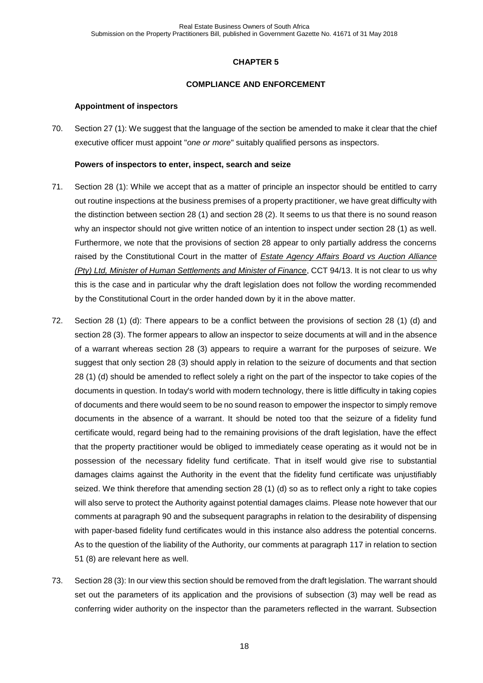## **COMPLIANCE AND ENFORCEMENT**

## **Appointment of inspectors**

70. Section 27 (1): We suggest that the language of the section be amended to make it clear that the chief executive officer must appoint "*one or more*" suitably qualified persons as inspectors.

## **Powers of inspectors to enter, inspect, search and seize**

- 71. Section 28 (1): While we accept that as a matter of principle an inspector should be entitled to carry out routine inspections at the business premises of a property practitioner, we have great difficulty with the distinction between section 28 (1) and section 28 (2). It seems to us that there is no sound reason why an inspector should not give written notice of an intention to inspect under section 28 (1) as well. Furthermore, we note that the provisions of section 28 appear to only partially address the concerns raised by the Constitutional Court in the matter of *Estate Agency Affairs Board vs Auction Alliance (Pty) Ltd, Minister of Human Settlements and Minister of Finance*, CCT 94/13. It is not clear to us why this is the case and in particular why the draft legislation does not follow the wording recommended by the Constitutional Court in the order handed down by it in the above matter.
- 72. Section 28 (1) (d): There appears to be a conflict between the provisions of section 28 (1) (d) and section 28 (3). The former appears to allow an inspector to seize documents at will and in the absence of a warrant whereas section 28 (3) appears to require a warrant for the purposes of seizure. We suggest that only section 28 (3) should apply in relation to the seizure of documents and that section 28 (1) (d) should be amended to reflect solely a right on the part of the inspector to take copies of the documents in question. In today's world with modern technology, there is little difficulty in taking copies of documents and there would seem to be no sound reason to empower the inspector to simply remove documents in the absence of a warrant. It should be noted too that the seizure of a fidelity fund certificate would, regard being had to the remaining provisions of the draft legislation, have the effect that the property practitioner would be obliged to immediately cease operating as it would not be in possession of the necessary fidelity fund certificate. That in itself would give rise to substantial damages claims against the Authority in the event that the fidelity fund certificate was unjustifiably seized. We think therefore that amending section 28 (1) (d) so as to reflect only a right to take copies will also serve to protect the Authority against potential damages claims. Please note however that our comments at paragraph [90](#page-22-0) and the subsequent paragraphs in relation to the desirability of dispensing with paper-based fidelity fund certificates would in this instance also address the potential concerns. As to the question of the liability of the Authority, our comments at paragraph [117](#page-29-0) in relation to section 51 (8) are relevant here as well.
- 73. Section 28 (3): In our view this section should be removed from the draft legislation. The warrant should set out the parameters of its application and the provisions of subsection (3) may well be read as conferring wider authority on the inspector than the parameters reflected in the warrant. Subsection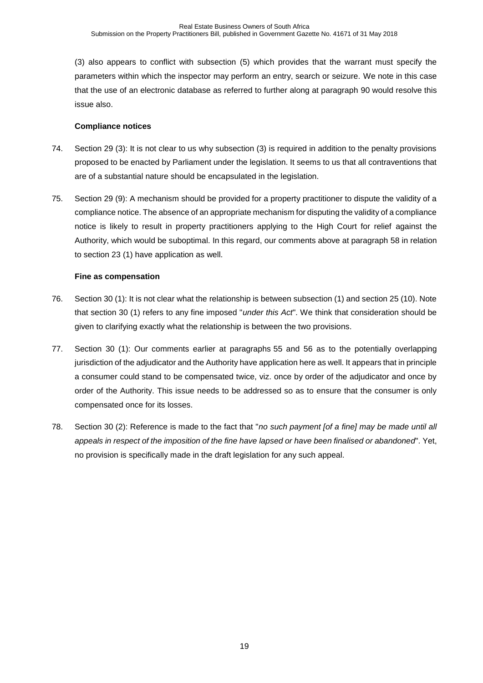(3) also appears to conflict with subsection (5) which provides that the warrant must specify the parameters within which the inspector may perform an entry, search or seizure. We note in this case that the use of an electronic database as referred to further along at paragraph [90](#page-22-0) would resolve this issue also.

## **Compliance notices**

- 74. Section 29 (3): It is not clear to us why subsection (3) is required in addition to the penalty provisions proposed to be enacted by Parliament under the legislation. It seems to us that all contraventions that are of a substantial nature should be encapsulated in the legislation.
- 75. Section 29 (9): A mechanism should be provided for a property practitioner to dispute the validity of a compliance notice. The absence of an appropriate mechanism for disputing the validity of a compliance notice is likely to result in property practitioners applying to the High Court for relief against the Authority, which would be suboptimal. In this regard, our comments above at paragraph [58](#page-14-0) in relation to section 23 (1) have application as well.

## **Fine as compensation**

- 76. Section 30 (1): It is not clear what the relationship is between subsection (1) and section 25 (10). Note that section 30 (1) refers to any fine imposed "*under this Act*". We think that consideration should be given to clarifying exactly what the relationship is between the two provisions.
- 77. Section 30 (1): Our comments earlier at paragraphs [55](#page-14-1) and [56](#page-14-2) as to the potentially overlapping jurisdiction of the adjudicator and the Authority have application here as well. It appears that in principle a consumer could stand to be compensated twice, viz. once by order of the adjudicator and once by order of the Authority. This issue needs to be addressed so as to ensure that the consumer is only compensated once for its losses.
- 78. Section 30 (2): Reference is made to the fact that "*no such payment [of a fine] may be made until all appeals in respect of the imposition of the fine have lapsed or have been finalised or abandoned*". Yet, no provision is specifically made in the draft legislation for any such appeal.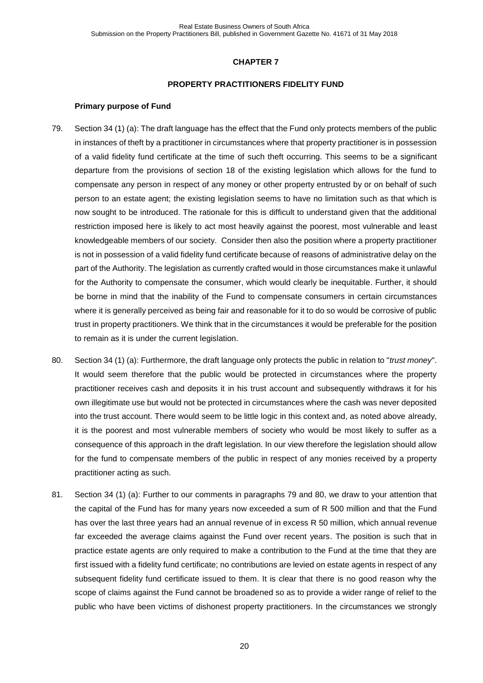#### **PROPERTY PRACTITIONERS FIDELITY FUND**

#### **Primary purpose of Fund**

- <span id="page-19-0"></span>79. Section 34 (1) (a): The draft language has the effect that the Fund only protects members of the public in instances of theft by a practitioner in circumstances where that property practitioner is in possession of a valid fidelity fund certificate at the time of such theft occurring. This seems to be a significant departure from the provisions of section 18 of the existing legislation which allows for the fund to compensate any person in respect of any money or other property entrusted by or on behalf of such person to an estate agent; the existing legislation seems to have no limitation such as that which is now sought to be introduced. The rationale for this is difficult to understand given that the additional restriction imposed here is likely to act most heavily against the poorest, most vulnerable and least knowledgeable members of our society. Consider then also the position where a property practitioner is not in possession of a valid fidelity fund certificate because of reasons of administrative delay on the part of the Authority. The legislation as currently crafted would in those circumstances make it unlawful for the Authority to compensate the consumer, which would clearly be inequitable. Further, it should be borne in mind that the inability of the Fund to compensate consumers in certain circumstances where it is generally perceived as being fair and reasonable for it to do so would be corrosive of public trust in property practitioners. We think that in the circumstances it would be preferable for the position to remain as it is under the current legislation.
- <span id="page-19-1"></span>80. Section 34 (1) (a): Furthermore, the draft language only protects the public in relation to "*trust money*". It would seem therefore that the public would be protected in circumstances where the property practitioner receives cash and deposits it in his trust account and subsequently withdraws it for his own illegitimate use but would not be protected in circumstances where the cash was never deposited into the trust account. There would seem to be little logic in this context and, as noted above already, it is the poorest and most vulnerable members of society who would be most likely to suffer as a consequence of this approach in the draft legislation. In our view therefore the legislation should allow for the fund to compensate members of the public in respect of any monies received by a property practitioner acting as such.
- <span id="page-19-2"></span>81. Section 34 (1) (a): Further to our comments in paragraphs [79](#page-19-0) and [80,](#page-19-1) we draw to your attention that the capital of the Fund has for many years now exceeded a sum of R 500 million and that the Fund has over the last three years had an annual revenue of in excess R 50 million, which annual revenue far exceeded the average claims against the Fund over recent years. The position is such that in practice estate agents are only required to make a contribution to the Fund at the time that they are first issued with a fidelity fund certificate; no contributions are levied on estate agents in respect of any subsequent fidelity fund certificate issued to them. It is clear that there is no good reason why the scope of claims against the Fund cannot be broadened so as to provide a wider range of relief to the public who have been victims of dishonest property practitioners. In the circumstances we strongly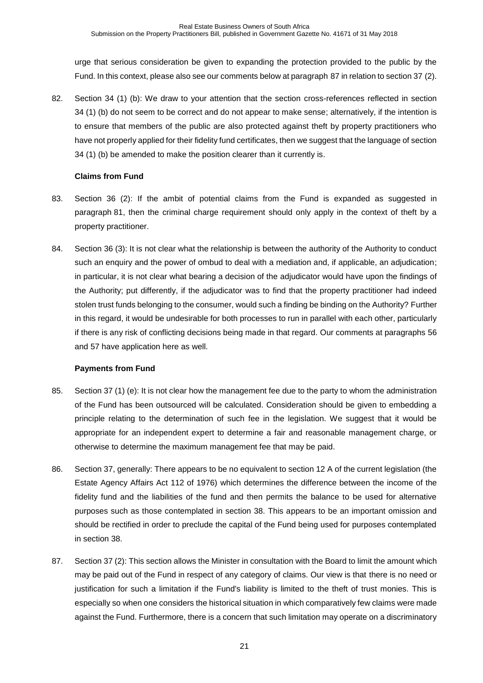urge that serious consideration be given to expanding the protection provided to the public by the Fund. In this context, please also see our comments below at paragraph [87](#page-20-1) in relation to section 37 (2).

82. Section 34 (1) (b): We draw to your attention that the section cross-references reflected in section 34 (1) (b) do not seem to be correct and do not appear to make sense; alternatively, if the intention is to ensure that members of the public are also protected against theft by property practitioners who have not properly applied for their fidelity fund certificates, then we suggest that the language of section 34 (1) (b) be amended to make the position clearer than it currently is.

## **Claims from Fund**

- <span id="page-20-0"></span>83. Section 36 (2): If the ambit of potential claims from the Fund is expanded as suggested in paragraph [81,](#page-19-2) then the criminal charge requirement should only apply in the context of theft by a property practitioner.
- 84. Section 36 (3): It is not clear what the relationship is between the authority of the Authority to conduct such an enquiry and the power of ombud to deal with a mediation and, if applicable, an adjudication; in particular, it is not clear what bearing a decision of the adjudicator would have upon the findings of the Authority; put differently, if the adjudicator was to find that the property practitioner had indeed stolen trust funds belonging to the consumer, would such a finding be binding on the Authority? Further in this regard, it would be undesirable for both processes to run in parallel with each other, particularly if there is any risk of conflicting decisions being made in that regard. Our comments at paragraphs [56](#page-14-2) and [57](#page-14-3) have application here as well.

# **Payments from Fund**

- 85. Section 37 (1) (e): It is not clear how the management fee due to the party to whom the administration of the Fund has been outsourced will be calculated. Consideration should be given to embedding a principle relating to the determination of such fee in the legislation. We suggest that it would be appropriate for an independent expert to determine a fair and reasonable management charge, or otherwise to determine the maximum management fee that may be paid.
- 86. Section 37, generally: There appears to be no equivalent to section 12 A of the current legislation (the Estate Agency Affairs Act 112 of 1976) which determines the difference between the income of the fidelity fund and the liabilities of the fund and then permits the balance to be used for alternative purposes such as those contemplated in section 38. This appears to be an important omission and should be rectified in order to preclude the capital of the Fund being used for purposes contemplated in section 38.
- <span id="page-20-1"></span>87. Section 37 (2): This section allows the Minister in consultation with the Board to limit the amount which may be paid out of the Fund in respect of any category of claims. Our view is that there is no need or justification for such a limitation if the Fund's liability is limited to the theft of trust monies. This is especially so when one considers the historical situation in which comparatively few claims were made against the Fund. Furthermore, there is a concern that such limitation may operate on a discriminatory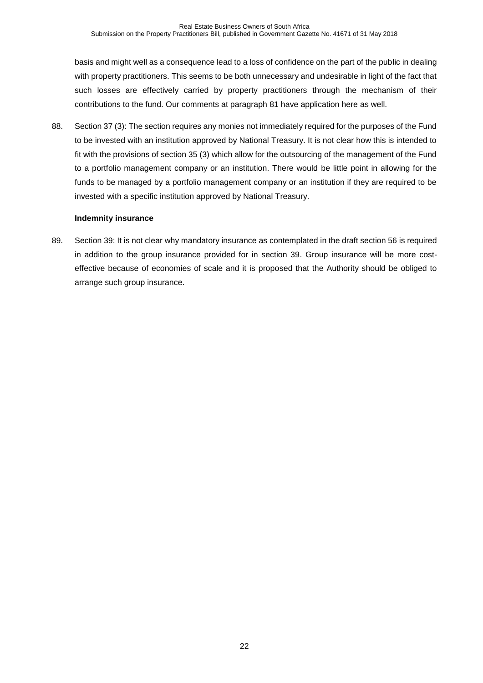basis and might well as a consequence lead to a loss of confidence on the part of the public in dealing with property practitioners. This seems to be both unnecessary and undesirable in light of the fact that such losses are effectively carried by property practitioners through the mechanism of their contributions to the fund. Our comments at paragraph [81](#page-19-2) have application here as well.

88. Section 37 (3): The section requires any monies not immediately required for the purposes of the Fund to be invested with an institution approved by National Treasury. It is not clear how this is intended to fit with the provisions of section 35 (3) which allow for the outsourcing of the management of the Fund to a portfolio management company or an institution. There would be little point in allowing for the funds to be managed by a portfolio management company or an institution if they are required to be invested with a specific institution approved by National Treasury.

## **Indemnity insurance**

89. Section 39: It is not clear why mandatory insurance as contemplated in the draft section 56 is required in addition to the group insurance provided for in section 39. Group insurance will be more costeffective because of economies of scale and it is proposed that the Authority should be obliged to arrange such group insurance.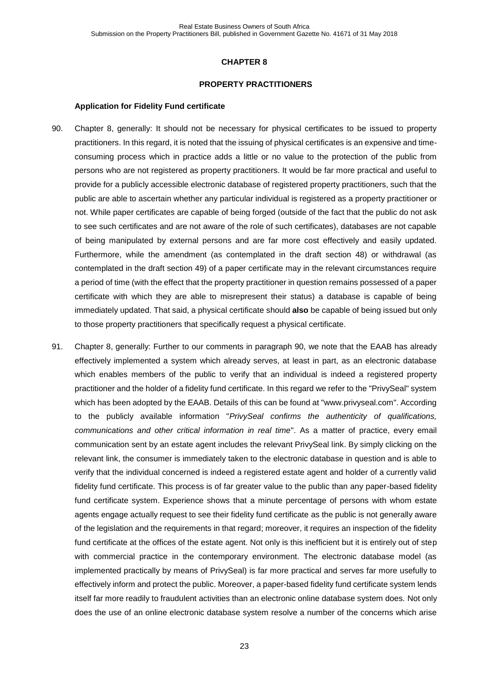#### **PROPERTY PRACTITIONERS**

#### **Application for Fidelity Fund certificate**

- <span id="page-22-0"></span>90. Chapter 8, generally: It should not be necessary for physical certificates to be issued to property practitioners. In this regard, it is noted that the issuing of physical certificates is an expensive and timeconsuming process which in practice adds a little or no value to the protection of the public from persons who are not registered as property practitioners. It would be far more practical and useful to provide for a publicly accessible electronic database of registered property practitioners, such that the public are able to ascertain whether any particular individual is registered as a property practitioner or not. While paper certificates are capable of being forged (outside of the fact that the public do not ask to see such certificates and are not aware of the role of such certificates), databases are not capable of being manipulated by external persons and are far more cost effectively and easily updated. Furthermore, while the amendment (as contemplated in the draft section 48) or withdrawal (as contemplated in the draft section 49) of a paper certificate may in the relevant circumstances require a period of time (with the effect that the property practitioner in question remains possessed of a paper certificate with which they are able to misrepresent their status) a database is capable of being immediately updated. That said, a physical certificate should **also** be capable of being issued but only to those property practitioners that specifically request a physical certificate.
- <span id="page-22-1"></span>91. Chapter 8, generally: Further to our comments in paragraph [90,](#page-22-0) we note that the EAAB has already effectively implemented a system which already serves, at least in part, as an electronic database which enables members of the public to verify that an individual is indeed a registered property practitioner and the holder of a fidelity fund certificate. In this regard we refer to the "PrivySeal" system which has been adopted by the EAAB. Details of this can be found at "www.privyseal.com". According to the publicly available information "*PrivySeal confirms the authenticity of qualifications, communications and other critical information in real time*". As a matter of practice, every email communication sent by an estate agent includes the relevant PrivySeal link. By simply clicking on the relevant link, the consumer is immediately taken to the electronic database in question and is able to verify that the individual concerned is indeed a registered estate agent and holder of a currently valid fidelity fund certificate. This process is of far greater value to the public than any paper-based fidelity fund certificate system. Experience shows that a minute percentage of persons with whom estate agents engage actually request to see their fidelity fund certificate as the public is not generally aware of the legislation and the requirements in that regard; moreover, it requires an inspection of the fidelity fund certificate at the offices of the estate agent. Not only is this inefficient but it is entirely out of step with commercial practice in the contemporary environment. The electronic database model (as implemented practically by means of PrivySeal) is far more practical and serves far more usefully to effectively inform and protect the public. Moreover, a paper-based fidelity fund certificate system lends itself far more readily to fraudulent activities than an electronic online database system does. Not only does the use of an online electronic database system resolve a number of the concerns which arise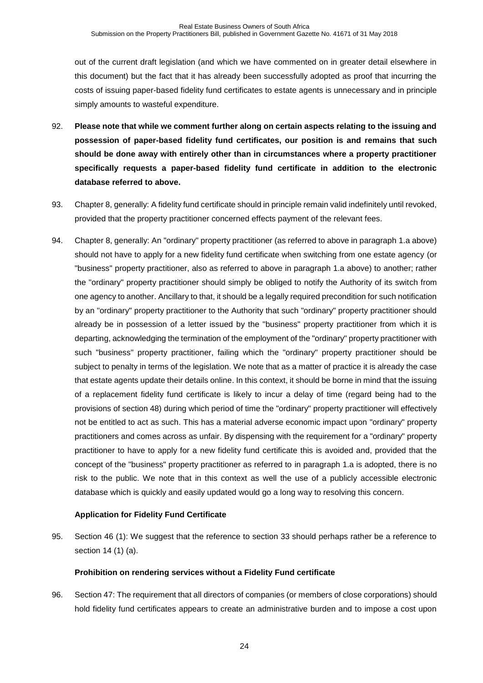out of the current draft legislation (and which we have commented on in greater detail elsewhere in this document) but the fact that it has already been successfully adopted as proof that incurring the costs of issuing paper-based fidelity fund certificates to estate agents is unnecessary and in principle simply amounts to wasteful expenditure.

- 92. **Please note that while we comment further along on certain aspects relating to the issuing and possession of paper-based fidelity fund certificates, our position is and remains that such should be done away with entirely other than in circumstances where a property practitioner specifically requests a paper-based fidelity fund certificate in addition to the electronic database referred to above.**
- 93. Chapter 8, generally: A fidelity fund certificate should in principle remain valid indefinitely until revoked, provided that the property practitioner concerned effects payment of the relevant fees.
- 94. Chapter 8, generally: An "ordinary" property practitioner (as referred to above in paragraph [1.a](#page-1-0) above) should not have to apply for a new fidelity fund certificate when switching from one estate agency (or "business" property practitioner, also as referred to above in paragraph [1.a](#page-1-0) above) to another; rather the "ordinary" property practitioner should simply be obliged to notify the Authority of its switch from one agency to another. Ancillary to that, it should be a legally required precondition for such notification by an "ordinary" property practitioner to the Authority that such "ordinary" property practitioner should already be in possession of a letter issued by the "business" property practitioner from which it is departing, acknowledging the termination of the employment of the "ordinary" property practitioner with such "business" property practitioner, failing which the "ordinary" property practitioner should be subject to penalty in terms of the legislation. We note that as a matter of practice it is already the case that estate agents update their details online. In this context, it should be borne in mind that the issuing of a replacement fidelity fund certificate is likely to incur a delay of time (regard being had to the provisions of section 48) during which period of time the "ordinary" property practitioner will effectively not be entitled to act as such. This has a material adverse economic impact upon "ordinary" property practitioners and comes across as unfair. By dispensing with the requirement for a "ordinary" property practitioner to have to apply for a new fidelity fund certificate this is avoided and, provided that the concept of the "business" property practitioner as referred to in paragraph [1.a](#page-1-0) is adopted, there is no risk to the public. We note that in this context as well the use of a publicly accessible electronic database which is quickly and easily updated would go a long way to resolving this concern.

# **Application for Fidelity Fund Certificate**

95. Section 46 (1): We suggest that the reference to section 33 should perhaps rather be a reference to section 14 (1) (a).

# **Prohibition on rendering services without a Fidelity Fund certificate**

<span id="page-23-0"></span>96. Section 47: The requirement that all directors of companies (or members of close corporations) should hold fidelity fund certificates appears to create an administrative burden and to impose a cost upon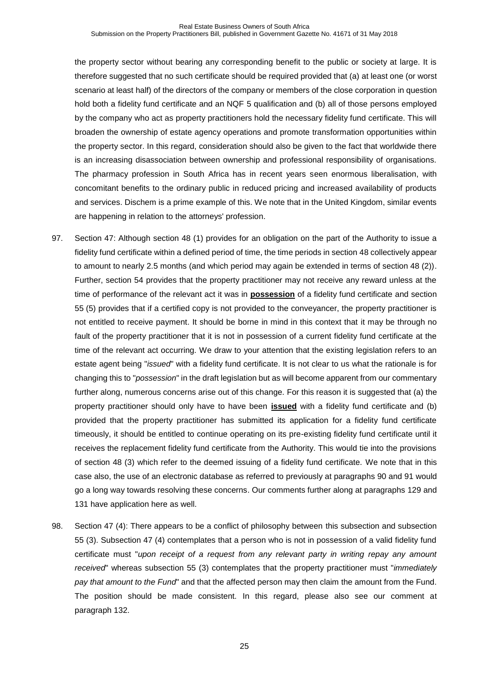the property sector without bearing any corresponding benefit to the public or society at large. It is therefore suggested that no such certificate should be required provided that (a) at least one (or worst scenario at least half) of the directors of the company or members of the close corporation in question hold both a fidelity fund certificate and an NQF 5 qualification and (b) all of those persons employed by the company who act as property practitioners hold the necessary fidelity fund certificate. This will broaden the ownership of estate agency operations and promote transformation opportunities within the property sector. In this regard, consideration should also be given to the fact that worldwide there is an increasing disassociation between ownership and professional responsibility of organisations. The pharmacy profession in South Africa has in recent years seen enormous liberalisation, with concomitant benefits to the ordinary public in reduced pricing and increased availability of products and services. Dischem is a prime example of this. We note that in the United Kingdom, similar events are happening in relation to the attorneys' profession.

- <span id="page-24-0"></span>97. Section 47: Although section 48 (1) provides for an obligation on the part of the Authority to issue a fidelity fund certificate within a defined period of time, the time periods in section 48 collectively appear to amount to nearly 2.5 months (and which period may again be extended in terms of section 48 (2)). Further, section 54 provides that the property practitioner may not receive any reward unless at the time of performance of the relevant act it was in **possession** of a fidelity fund certificate and section 55 (5) provides that if a certified copy is not provided to the conveyancer, the property practitioner is not entitled to receive payment. It should be borne in mind in this context that it may be through no fault of the property practitioner that it is not in possession of a current fidelity fund certificate at the time of the relevant act occurring. We draw to your attention that the existing legislation refers to an estate agent being "*issued*" with a fidelity fund certificate. It is not clear to us what the rationale is for changing this to "*possession*" in the draft legislation but as will become apparent from our commentary further along, numerous concerns arise out of this change. For this reason it is suggested that (a) the property practitioner should only have to have been **issued** with a fidelity fund certificate and (b) provided that the property practitioner has submitted its application for a fidelity fund certificate timeously, it should be entitled to continue operating on its pre-existing fidelity fund certificate until it receives the replacement fidelity fund certificate from the Authority. This would tie into the provisions of section 48 (3) which refer to the deemed issuing of a fidelity fund certificate. We note that in this case also, the use of an electronic database as referred to previously at paragraphs [90](#page-22-0) and [91](#page-22-1) would go a long way towards resolving these concerns. Our comments further along at paragraphs [129](#page-31-0) and [131](#page-31-1) have application here as well.
- 98. Section 47 (4): There appears to be a conflict of philosophy between this subsection and subsection 55 (3). Subsection 47 (4) contemplates that a person who is not in possession of a valid fidelity fund certificate must "*upon receipt of a request from any relevant party in writing repay any amount received*" whereas subsection 55 (3) contemplates that the property practitioner must "*immediately pay that amount to the Fund*" and that the affected person may then claim the amount from the Fund. The position should be made consistent. In this regard, please also see our comment at paragraph [132.](#page-31-2)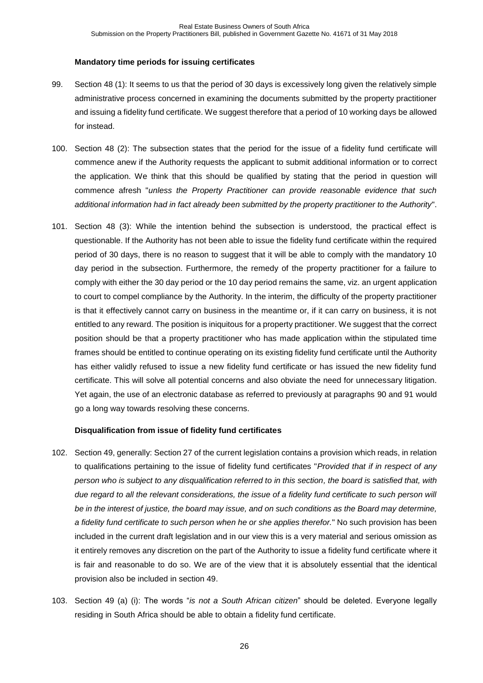## **Mandatory time periods for issuing certificates**

- 99. Section 48 (1): It seems to us that the period of 30 days is excessively long given the relatively simple administrative process concerned in examining the documents submitted by the property practitioner and issuing a fidelity fund certificate. We suggest therefore that a period of 10 working days be allowed for instead.
- 100. Section 48 (2): The subsection states that the period for the issue of a fidelity fund certificate will commence anew if the Authority requests the applicant to submit additional information or to correct the application. We think that this should be qualified by stating that the period in question will commence afresh "*unless the Property Practitioner can provide reasonable evidence that such additional information had in fact already been submitted by the property practitioner to the Authority*".
- 101. Section 48 (3): While the intention behind the subsection is understood, the practical effect is questionable. If the Authority has not been able to issue the fidelity fund certificate within the required period of 30 days, there is no reason to suggest that it will be able to comply with the mandatory 10 day period in the subsection. Furthermore, the remedy of the property practitioner for a failure to comply with either the 30 day period or the 10 day period remains the same, viz. an urgent application to court to compel compliance by the Authority. In the interim, the difficulty of the property practitioner is that it effectively cannot carry on business in the meantime or, if it can carry on business, it is not entitled to any reward. The position is iniquitous for a property practitioner. We suggest that the correct position should be that a property practitioner who has made application within the stipulated time frames should be entitled to continue operating on its existing fidelity fund certificate until the Authority has either validly refused to issue a new fidelity fund certificate or has issued the new fidelity fund certificate. This will solve all potential concerns and also obviate the need for unnecessary litigation. Yet again, the use of an electronic database as referred to previously at paragraphs [90](#page-22-0) and [91](#page-22-1) would go a long way towards resolving these concerns.

# **Disqualification from issue of fidelity fund certificates**

- 102. Section 49, generally: Section 27 of the current legislation contains a provision which reads, in relation to qualifications pertaining to the issue of fidelity fund certificates "*Provided that if in respect of any person who is subject to any disqualification referred to in this section, the board is satisfied that, with due regard to all the relevant considerations, the issue of a fidelity fund certificate to such person will be in the interest of justice, the board may issue, and on such conditions as the Board may determine, a fidelity fund certificate to such person when he or she applies therefor.*" No such provision has been included in the current draft legislation and in our view this is a very material and serious omission as it entirely removes any discretion on the part of the Authority to issue a fidelity fund certificate where it is fair and reasonable to do so. We are of the view that it is absolutely essential that the identical provision also be included in section 49.
- 103. Section 49 (a) (i): The words "*is not a South African citizen*" should be deleted. Everyone legally residing in South Africa should be able to obtain a fidelity fund certificate.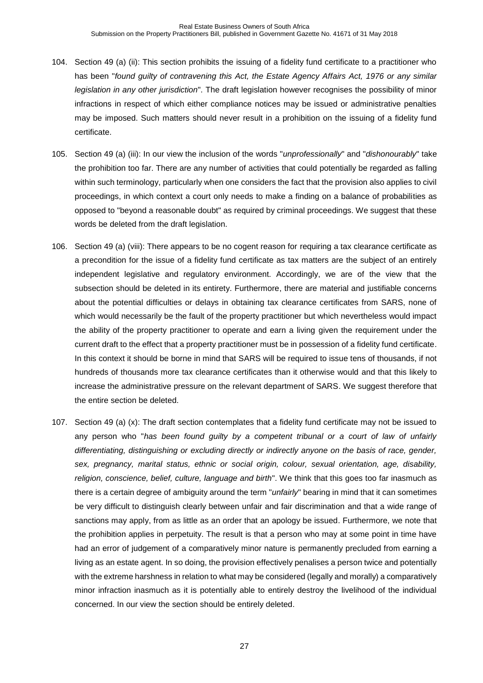- 104. Section 49 (a) (ii): This section prohibits the issuing of a fidelity fund certificate to a practitioner who has been "*found guilty of contravening this Act, the Estate Agency Affairs Act, 1976 or any similar legislation in any other jurisdiction*". The draft legislation however recognises the possibility of minor infractions in respect of which either compliance notices may be issued or administrative penalties may be imposed. Such matters should never result in a prohibition on the issuing of a fidelity fund certificate.
- 105. Section 49 (a) (iii): In our view the inclusion of the words "*unprofessionally*" and "*dishonourably*" take the prohibition too far. There are any number of activities that could potentially be regarded as falling within such terminology, particularly when one considers the fact that the provision also applies to civil proceedings, in which context a court only needs to make a finding on a balance of probabilities as opposed to "beyond a reasonable doubt" as required by criminal proceedings. We suggest that these words be deleted from the draft legislation.
- 106. Section 49 (a) (viii): There appears to be no cogent reason for requiring a tax clearance certificate as a precondition for the issue of a fidelity fund certificate as tax matters are the subject of an entirely independent legislative and regulatory environment. Accordingly, we are of the view that the subsection should be deleted in its entirety. Furthermore, there are material and justifiable concerns about the potential difficulties or delays in obtaining tax clearance certificates from SARS, none of which would necessarily be the fault of the property practitioner but which nevertheless would impact the ability of the property practitioner to operate and earn a living given the requirement under the current draft to the effect that a property practitioner must be in possession of a fidelity fund certificate. In this context it should be borne in mind that SARS will be required to issue tens of thousands, if not hundreds of thousands more tax clearance certificates than it otherwise would and that this likely to increase the administrative pressure on the relevant department of SARS. We suggest therefore that the entire section be deleted.
- 107. Section 49 (a) (x): The draft section contemplates that a fidelity fund certificate may not be issued to any person who "*has been found guilty by a competent tribunal or a court of law of unfairly differentiating, distinguishing or excluding directly or indirectly anyone on the basis of race, gender, sex, pregnancy, marital status, ethnic or social origin, colour, sexual orientation, age, disability, religion, conscience, belief, culture, language and birth*". We think that this goes too far inasmuch as there is a certain degree of ambiguity around the term "*unfairly*" bearing in mind that it can sometimes be very difficult to distinguish clearly between unfair and fair discrimination and that a wide range of sanctions may apply, from as little as an order that an apology be issued. Furthermore, we note that the prohibition applies in perpetuity. The result is that a person who may at some point in time have had an error of judgement of a comparatively minor nature is permanently precluded from earning a living as an estate agent. In so doing, the provision effectively penalises a person twice and potentially with the extreme harshness in relation to what may be considered (legally and morally) a comparatively minor infraction inasmuch as it is potentially able to entirely destroy the livelihood of the individual concerned. In our view the section should be entirely deleted.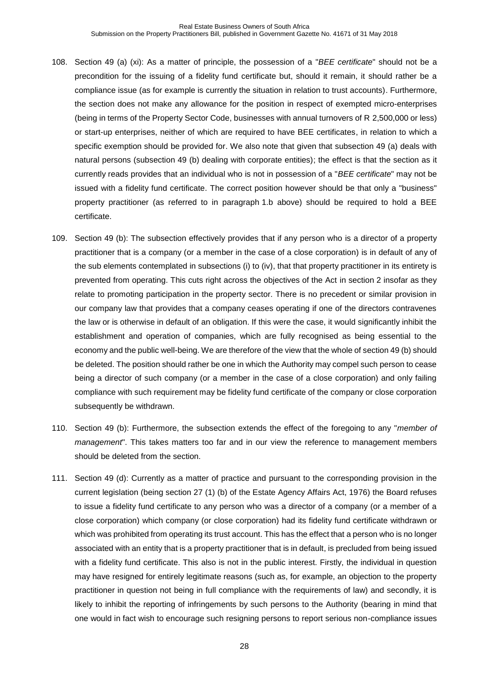- <span id="page-27-0"></span>108. Section 49 (a) (xi): As a matter of principle, the possession of a "*BEE certificate*" should not be a precondition for the issuing of a fidelity fund certificate but, should it remain, it should rather be a compliance issue (as for example is currently the situation in relation to trust accounts). Furthermore, the section does not make any allowance for the position in respect of exempted micro-enterprises (being in terms of the Property Sector Code, businesses with annual turnovers of R 2,500,000 or less) or start-up enterprises, neither of which are required to have BEE certificates, in relation to which a specific exemption should be provided for. We also note that given that subsection 49 (a) deals with natural persons (subsection 49 (b) dealing with corporate entities); the effect is that the section as it currently reads provides that an individual who is not in possession of a "*BEE certificate*" may not be issued with a fidelity fund certificate. The correct position however should be that only a "business" property practitioner (as referred to in paragraph [1.b](#page-1-1) above) should be required to hold a BEE certificate.
- 109. Section 49 (b): The subsection effectively provides that if any person who is a director of a property practitioner that is a company (or a member in the case of a close corporation) is in default of any of the sub elements contemplated in subsections (i) to (iv), that that property practitioner in its entirety is prevented from operating. This cuts right across the objectives of the Act in section 2 insofar as they relate to promoting participation in the property sector. There is no precedent or similar provision in our company law that provides that a company ceases operating if one of the directors contravenes the law or is otherwise in default of an obligation. If this were the case, it would significantly inhibit the establishment and operation of companies, which are fully recognised as being essential to the economy and the public well-being. We are therefore of the view that the whole of section 49 (b) should be deleted. The position should rather be one in which the Authority may compel such person to cease being a director of such company (or a member in the case of a close corporation) and only failing compliance with such requirement may be fidelity fund certificate of the company or close corporation subsequently be withdrawn.
- 110. Section 49 (b): Furthermore, the subsection extends the effect of the foregoing to any "*member of management*". This takes matters too far and in our view the reference to management members should be deleted from the section.
- <span id="page-27-1"></span>111. Section 49 (d): Currently as a matter of practice and pursuant to the corresponding provision in the current legislation (being section 27 (1) (b) of the Estate Agency Affairs Act, 1976) the Board refuses to issue a fidelity fund certificate to any person who was a director of a company (or a member of a close corporation) which company (or close corporation) had its fidelity fund certificate withdrawn or which was prohibited from operating its trust account. This has the effect that a person who is no longer associated with an entity that is a property practitioner that is in default, is precluded from being issued with a fidelity fund certificate. This also is not in the public interest. Firstly, the individual in question may have resigned for entirely legitimate reasons (such as, for example, an objection to the property practitioner in question not being in full compliance with the requirements of law) and secondly, it is likely to inhibit the reporting of infringements by such persons to the Authority (bearing in mind that one would in fact wish to encourage such resigning persons to report serious non-compliance issues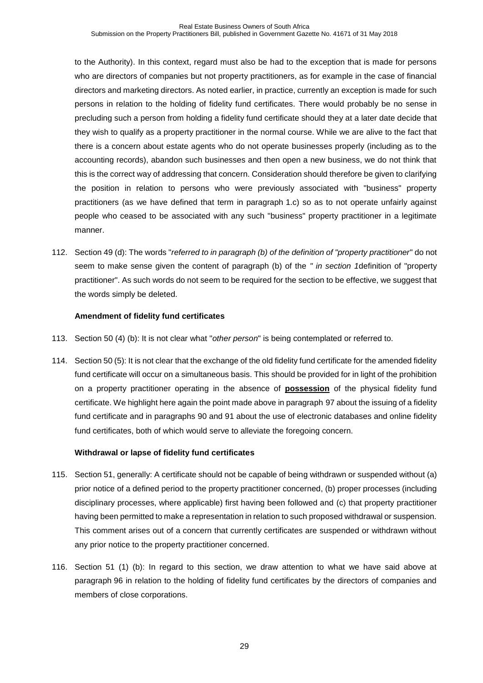to the Authority). In this context, regard must also be had to the exception that is made for persons who are directors of companies but not property practitioners, as for example in the case of financial directors and marketing directors. As noted earlier, in practice, currently an exception is made for such persons in relation to the holding of fidelity fund certificates. There would probably be no sense in precluding such a person from holding a fidelity fund certificate should they at a later date decide that they wish to qualify as a property practitioner in the normal course. While we are alive to the fact that there is a concern about estate agents who do not operate businesses properly (including as to the accounting records), abandon such businesses and then open a new business, we do not think that this is the correct way of addressing that concern. Consideration should therefore be given to clarifying the position in relation to persons who were previously associated with "business" property practitioners (as we have defined that term in paragraph [1.c\)](#page-1-2) so as to not operate unfairly against people who ceased to be associated with any such "business" property practitioner in a legitimate manner.

112. Section 49 (d): The words "*referred to in paragraph (b) of the definition of "property practitioner*" do not seem to make sense given the content of paragraph (b) of the *" in section 1*definition of "property practitioner". As such words do not seem to be required for the section to be effective, we suggest that the words simply be deleted.

# **Amendment of fidelity fund certificates**

- 113. Section 50 (4) (b): It is not clear what "*other person*" is being contemplated or referred to.
- 114. Section 50 (5): It is not clear that the exchange of the old fidelity fund certificate for the amended fidelity fund certificate will occur on a simultaneous basis. This should be provided for in light of the prohibition on a property practitioner operating in the absence of **possession** of the physical fidelity fund certificate. We highlight here again the point made above in paragraph [97](#page-24-0) about the issuing of a fidelity fund certificate and in paragraphs [90](#page-22-0) and [91](#page-22-1) about the use of electronic databases and online fidelity fund certificates, both of which would serve to alleviate the foregoing concern.

# **Withdrawal or lapse of fidelity fund certificates**

- 115. Section 51, generally: A certificate should not be capable of being withdrawn or suspended without (a) prior notice of a defined period to the property practitioner concerned, (b) proper processes (including disciplinary processes, where applicable) first having been followed and (c) that property practitioner having been permitted to make a representation in relation to such proposed withdrawal or suspension. This comment arises out of a concern that currently certificates are suspended or withdrawn without any prior notice to the property practitioner concerned.
- 116. Section 51 (1) (b): In regard to this section, we draw attention to what we have said above at paragraph [96](#page-23-0) in relation to the holding of fidelity fund certificates by the directors of companies and members of close corporations.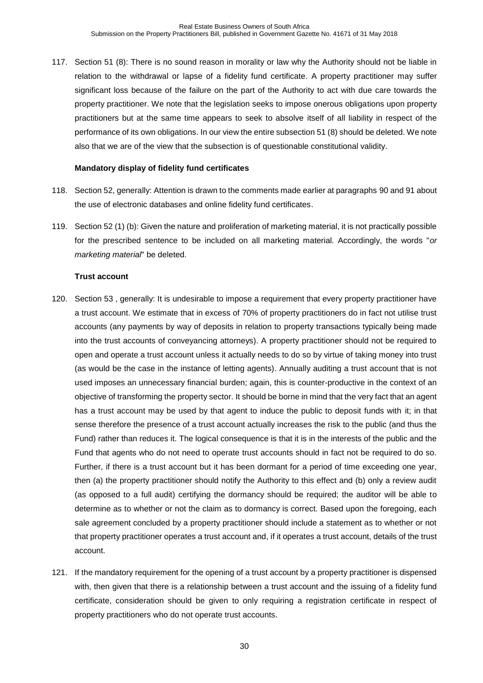<span id="page-29-0"></span>117. Section 51 (8): There is no sound reason in morality or law why the Authority should not be liable in relation to the withdrawal or lapse of a fidelity fund certificate. A property practitioner may suffer significant loss because of the failure on the part of the Authority to act with due care towards the property practitioner. We note that the legislation seeks to impose onerous obligations upon property practitioners but at the same time appears to seek to absolve itself of all liability in respect of the performance of its own obligations. In our view the entire subsection 51 (8) should be deleted. We note also that we are of the view that the subsection is of questionable constitutional validity.

## **Mandatory display of fidelity fund certificates**

- 118. Section 52, generally: Attention is drawn to the comments made earlier at paragraphs [90](#page-22-0) and [91](#page-22-1) about the use of electronic databases and online fidelity fund certificates.
- 119. Section 52 (1) (b): Given the nature and proliferation of marketing material, it is not practically possible for the prescribed sentence to be included on all marketing material. Accordingly, the words "*or marketing material*" be deleted.

## **Trust account**

- 120. Section 53 , generally: It is undesirable to impose a requirement that every property practitioner have a trust account. We estimate that in excess of 70% of property practitioners do in fact not utilise trust accounts (any payments by way of deposits in relation to property transactions typically being made into the trust accounts of conveyancing attorneys). A property practitioner should not be required to open and operate a trust account unless it actually needs to do so by virtue of taking money into trust (as would be the case in the instance of letting agents). Annually auditing a trust account that is not used imposes an unnecessary financial burden; again, this is counter-productive in the context of an objective of transforming the property sector. It should be borne in mind that the very fact that an agent has a trust account may be used by that agent to induce the public to deposit funds with it; in that sense therefore the presence of a trust account actually increases the risk to the public (and thus the Fund) rather than reduces it. The logical consequence is that it is in the interests of the public and the Fund that agents who do not need to operate trust accounts should in fact not be required to do so. Further, if there is a trust account but it has been dormant for a period of time exceeding one year, then (a) the property practitioner should notify the Authority to this effect and (b) only a review audit (as opposed to a full audit) certifying the dormancy should be required; the auditor will be able to determine as to whether or not the claim as to dormancy is correct. Based upon the foregoing, each sale agreement concluded by a property practitioner should include a statement as to whether or not that property practitioner operates a trust account and, if it operates a trust account, details of the trust account.
- 121. If the mandatory requirement for the opening of a trust account by a property practitioner is dispensed with, then given that there is a relationship between a trust account and the issuing of a fidelity fund certificate, consideration should be given to only requiring a registration certificate in respect of property practitioners who do not operate trust accounts.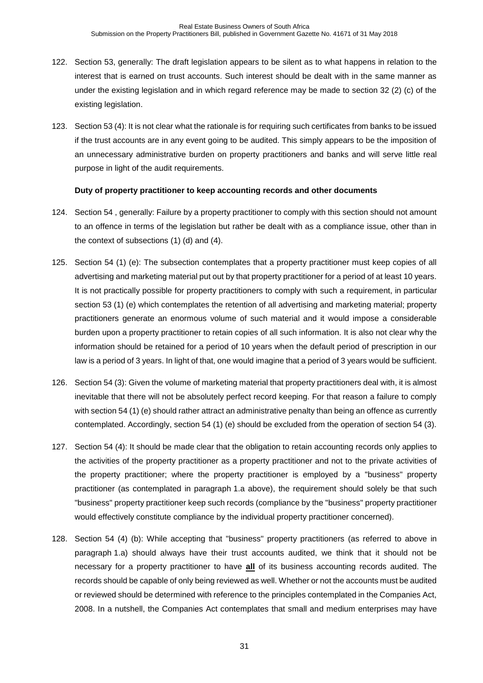- 122. Section 53, generally: The draft legislation appears to be silent as to what happens in relation to the interest that is earned on trust accounts. Such interest should be dealt with in the same manner as under the existing legislation and in which regard reference may be made to section 32 (2) (c) of the existing legislation.
- 123. Section 53 (4): It is not clear what the rationale is for requiring such certificates from banks to be issued if the trust accounts are in any event going to be audited. This simply appears to be the imposition of an unnecessary administrative burden on property practitioners and banks and will serve little real purpose in light of the audit requirements.

#### **Duty of property practitioner to keep accounting records and other documents**

- 124. Section 54 , generally: Failure by a property practitioner to comply with this section should not amount to an offence in terms of the legislation but rather be dealt with as a compliance issue, other than in the context of subsections (1) (d) and (4).
- 125. Section 54 (1) (e): The subsection contemplates that a property practitioner must keep copies of all advertising and marketing material put out by that property practitioner for a period of at least 10 years. It is not practically possible for property practitioners to comply with such a requirement, in particular section 53 (1) (e) which contemplates the retention of all advertising and marketing material; property practitioners generate an enormous volume of such material and it would impose a considerable burden upon a property practitioner to retain copies of all such information. It is also not clear why the information should be retained for a period of 10 years when the default period of prescription in our law is a period of 3 years. In light of that, one would imagine that a period of 3 years would be sufficient.
- 126. Section 54 (3): Given the volume of marketing material that property practitioners deal with, it is almost inevitable that there will not be absolutely perfect record keeping. For that reason a failure to comply with section 54 (1) (e) should rather attract an administrative penalty than being an offence as currently contemplated. Accordingly, section 54 (1) (e) should be excluded from the operation of section 54 (3).
- 127. Section 54 (4): It should be made clear that the obligation to retain accounting records only applies to the activities of the property practitioner as a property practitioner and not to the private activities of the property practitioner; where the property practitioner is employed by a "business" property practitioner (as contemplated in paragraph [1.a](#page-1-0) above), the requirement should solely be that such "business" property practitioner keep such records (compliance by the "business" property practitioner would effectively constitute compliance by the individual property practitioner concerned).
- 128. Section 54 (4) (b): While accepting that "business" property practitioners (as referred to above in paragraph [1.a\)](#page-1-0) should always have their trust accounts audited, we think that it should not be necessary for a property practitioner to have **all** of its business accounting records audited. The records should be capable of only being reviewed as well. Whether or not the accounts must be audited or reviewed should be determined with reference to the principles contemplated in the Companies Act, 2008. In a nutshell, the Companies Act contemplates that small and medium enterprises may have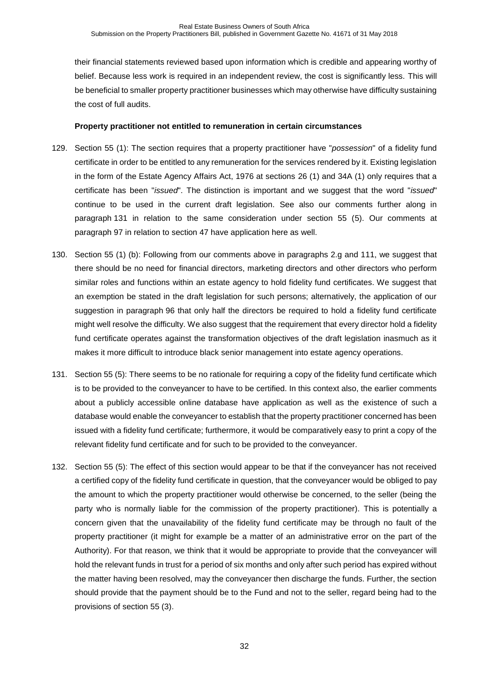their financial statements reviewed based upon information which is credible and appearing worthy of belief. Because less work is required in an independent review, the cost is significantly less. This will be beneficial to smaller property practitioner businesses which may otherwise have difficulty sustaining the cost of full audits.

## **Property practitioner not entitled to remuneration in certain circumstances**

- <span id="page-31-0"></span>129. Section 55 (1): The section requires that a property practitioner have "*possession*" of a fidelity fund certificate in order to be entitled to any remuneration for the services rendered by it. Existing legislation in the form of the Estate Agency Affairs Act, 1976 at sections 26 (1) and 34A (1) only requires that a certificate has been "*issued*". The distinction is important and we suggest that the word "*issued*" continue to be used in the current draft legislation. See also our comments further along in paragraph [131](#page-31-1) in relation to the same consideration under section 55 (5). Our comments at paragraph [97](#page-24-0) in relation to section 47 have application here as well.
- 130. Section 55 (1) (b): Following from our comments above in paragraphs [2.g](#page-3-0) and [111,](#page-27-1) we suggest that there should be no need for financial directors, marketing directors and other directors who perform similar roles and functions within an estate agency to hold fidelity fund certificates. We suggest that an exemption be stated in the draft legislation for such persons; alternatively, the application of our suggestion in paragraph [96](#page-23-0) that only half the directors be required to hold a fidelity fund certificate might well resolve the difficulty. We also suggest that the requirement that every director hold a fidelity fund certificate operates against the transformation objectives of the draft legislation inasmuch as it makes it more difficult to introduce black senior management into estate agency operations.
- <span id="page-31-1"></span>131. Section 55 (5): There seems to be no rationale for requiring a copy of the fidelity fund certificate which is to be provided to the conveyancer to have to be certified. In this context also, the earlier comments about a publicly accessible online database have application as well as the existence of such a database would enable the conveyancer to establish that the property practitioner concerned has been issued with a fidelity fund certificate; furthermore, it would be comparatively easy to print a copy of the relevant fidelity fund certificate and for such to be provided to the conveyancer.
- <span id="page-31-2"></span>132. Section 55 (5): The effect of this section would appear to be that if the conveyancer has not received a certified copy of the fidelity fund certificate in question, that the conveyancer would be obliged to pay the amount to which the property practitioner would otherwise be concerned, to the seller (being the party who is normally liable for the commission of the property practitioner). This is potentially a concern given that the unavailability of the fidelity fund certificate may be through no fault of the property practitioner (it might for example be a matter of an administrative error on the part of the Authority). For that reason, we think that it would be appropriate to provide that the conveyancer will hold the relevant funds in trust for a period of six months and only after such period has expired without the matter having been resolved, may the conveyancer then discharge the funds. Further, the section should provide that the payment should be to the Fund and not to the seller, regard being had to the provisions of section 55 (3).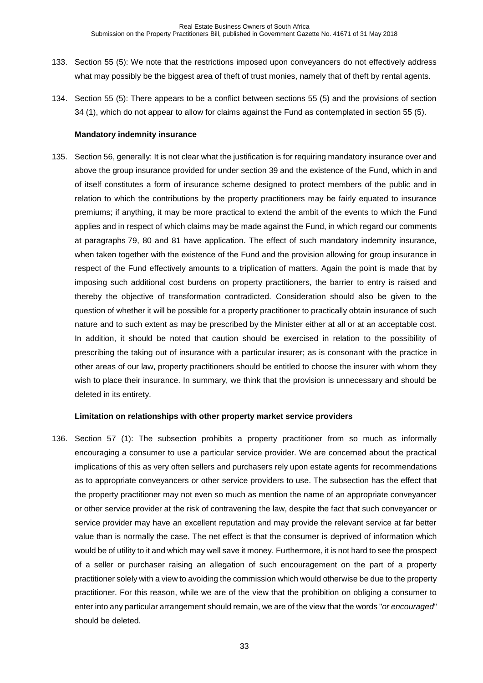- 133. Section 55 (5): We note that the restrictions imposed upon conveyancers do not effectively address what may possibly be the biggest area of theft of trust monies, namely that of theft by rental agents.
- 134. Section 55 (5): There appears to be a conflict between sections 55 (5) and the provisions of section 34 (1), which do not appear to allow for claims against the Fund as contemplated in section 55 (5).

#### **Mandatory indemnity insurance**

135. Section 56, generally: It is not clear what the justification is for requiring mandatory insurance over and above the group insurance provided for under section 39 and the existence of the Fund, which in and of itself constitutes a form of insurance scheme designed to protect members of the public and in relation to which the contributions by the property practitioners may be fairly equated to insurance premiums; if anything, it may be more practical to extend the ambit of the events to which the Fund applies and in respect of which claims may be made against the Fund, in which regard our comments at paragraphs [79,](#page-19-0) [80](#page-19-1) and [81](#page-19-2) have application. The effect of such mandatory indemnity insurance, when taken together with the existence of the Fund and the provision allowing for group insurance in respect of the Fund effectively amounts to a triplication of matters. Again the point is made that by imposing such additional cost burdens on property practitioners, the barrier to entry is raised and thereby the objective of transformation contradicted. Consideration should also be given to the question of whether it will be possible for a property practitioner to practically obtain insurance of such nature and to such extent as may be prescribed by the Minister either at all or at an acceptable cost. In addition, it should be noted that caution should be exercised in relation to the possibility of prescribing the taking out of insurance with a particular insurer; as is consonant with the practice in other areas of our law, property practitioners should be entitled to choose the insurer with whom they wish to place their insurance. In summary, we think that the provision is unnecessary and should be deleted in its entirety.

#### **Limitation on relationships with other property market service providers**

136. Section 57 (1): The subsection prohibits a property practitioner from so much as informally encouraging a consumer to use a particular service provider. We are concerned about the practical implications of this as very often sellers and purchasers rely upon estate agents for recommendations as to appropriate conveyancers or other service providers to use. The subsection has the effect that the property practitioner may not even so much as mention the name of an appropriate conveyancer or other service provider at the risk of contravening the law, despite the fact that such conveyancer or service provider may have an excellent reputation and may provide the relevant service at far better value than is normally the case. The net effect is that the consumer is deprived of information which would be of utility to it and which may well save it money. Furthermore, it is not hard to see the prospect of a seller or purchaser raising an allegation of such encouragement on the part of a property practitioner solely with a view to avoiding the commission which would otherwise be due to the property practitioner. For this reason, while we are of the view that the prohibition on obliging a consumer to enter into any particular arrangement should remain, we are of the view that the words "*or encouraged*" should be deleted.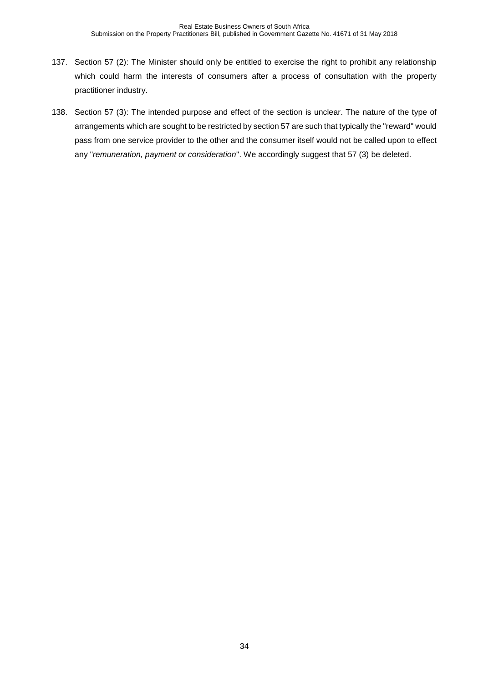- 137. Section 57 (2): The Minister should only be entitled to exercise the right to prohibit any relationship which could harm the interests of consumers after a process of consultation with the property practitioner industry.
- 138. Section 57 (3): The intended purpose and effect of the section is unclear. The nature of the type of arrangements which are sought to be restricted by section 57 are such that typically the "reward" would pass from one service provider to the other and the consumer itself would not be called upon to effect any "*remuneration, payment or consideration*". We accordingly suggest that 57 (3) be deleted.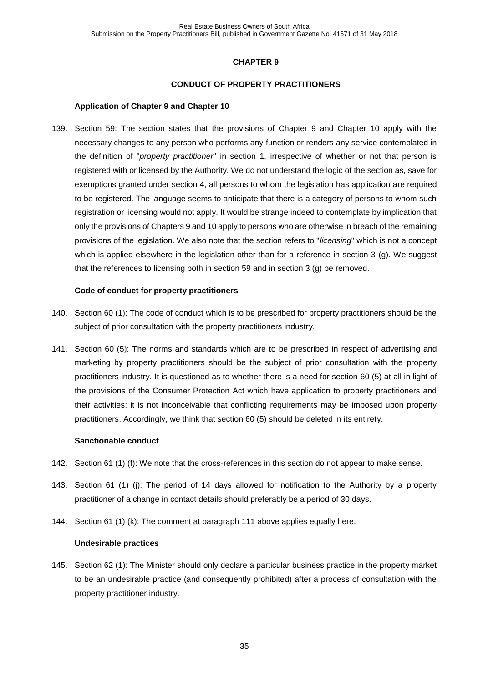## **CONDUCT OF PROPERTY PRACTITIONERS**

#### **Application of Chapter 9 and Chapter 10**

139. Section 59: The section states that the provisions of Chapter 9 and Chapter 10 apply with the necessary changes to any person who performs any function or renders any service contemplated in the definition of "*property practitioner*" in section 1, irrespective of whether or not that person is registered with or licensed by the Authority. We do not understand the logic of the section as, save for exemptions granted under section 4, all persons to whom the legislation has application are required to be registered. The language seems to anticipate that there is a category of persons to whom such registration or licensing would not apply. It would be strange indeed to contemplate by implication that only the provisions of Chapters 9 and 10 apply to persons who are otherwise in breach of the remaining provisions of the legislation. We also note that the section refers to "*licensing*" which is not a concept which is applied elsewhere in the legislation other than for a reference in section 3 (g). We suggest that the references to licensing both in section 59 and in section 3 (g) be removed.

#### **Code of conduct for property practitioners**

- 140. Section 60 (1): The code of conduct which is to be prescribed for property practitioners should be the subject of prior consultation with the property practitioners industry.
- 141. Section 60 (5): The norms and standards which are to be prescribed in respect of advertising and marketing by property practitioners should be the subject of prior consultation with the property practitioners industry. It is questioned as to whether there is a need for section 60 (5) at all in light of the provisions of the Consumer Protection Act which have application to property practitioners and their activities; it is not inconceivable that conflicting requirements may be imposed upon property practitioners. Accordingly, we think that section 60 (5) should be deleted in its entirety.

#### **Sanctionable conduct**

- 142. Section 61 (1) (f): We note that the cross-references in this section do not appear to make sense.
- 143. Section 61 (1) (j): The period of 14 days allowed for notification to the Authority by a property practitioner of a change in contact details should preferably be a period of 30 days.
- 144. Section 61 (1) (k): The comment at paragraph [111](#page-27-1) above applies equally here.

#### **Undesirable practices**

145. Section 62 (1): The Minister should only declare a particular business practice in the property market to be an undesirable practice (and consequently prohibited) after a process of consultation with the property practitioner industry.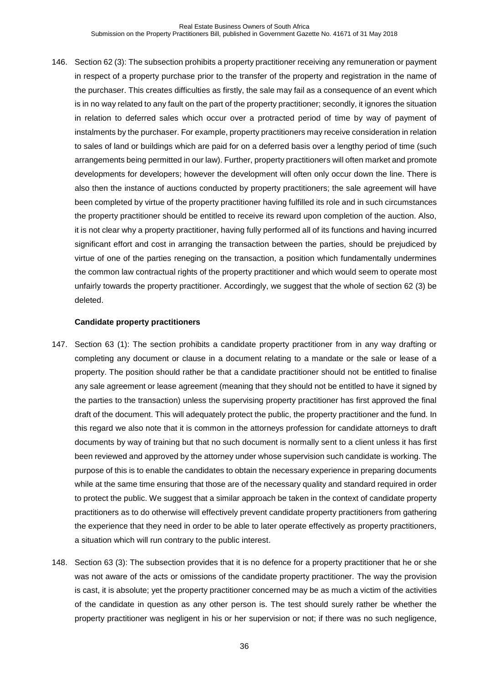146. Section 62 (3): The subsection prohibits a property practitioner receiving any remuneration or payment in respect of a property purchase prior to the transfer of the property and registration in the name of the purchaser. This creates difficulties as firstly, the sale may fail as a consequence of an event which is in no way related to any fault on the part of the property practitioner; secondly, it ignores the situation in relation to deferred sales which occur over a protracted period of time by way of payment of instalments by the purchaser. For example, property practitioners may receive consideration in relation to sales of land or buildings which are paid for on a deferred basis over a lengthy period of time (such arrangements being permitted in our law). Further, property practitioners will often market and promote developments for developers; however the development will often only occur down the line. There is also then the instance of auctions conducted by property practitioners; the sale agreement will have been completed by virtue of the property practitioner having fulfilled its role and in such circumstances the property practitioner should be entitled to receive its reward upon completion of the auction. Also, it is not clear why a property practitioner, having fully performed all of its functions and having incurred significant effort and cost in arranging the transaction between the parties, should be prejudiced by virtue of one of the parties reneging on the transaction, a position which fundamentally undermines the common law contractual rights of the property practitioner and which would seem to operate most unfairly towards the property practitioner. Accordingly, we suggest that the whole of section 62 (3) be deleted.

#### **Candidate property practitioners**

- 147. Section 63 (1): The section prohibits a candidate property practitioner from in any way drafting or completing any document or clause in a document relating to a mandate or the sale or lease of a property. The position should rather be that a candidate practitioner should not be entitled to finalise any sale agreement or lease agreement (meaning that they should not be entitled to have it signed by the parties to the transaction) unless the supervising property practitioner has first approved the final draft of the document. This will adequately protect the public, the property practitioner and the fund. In this regard we also note that it is common in the attorneys profession for candidate attorneys to draft documents by way of training but that no such document is normally sent to a client unless it has first been reviewed and approved by the attorney under whose supervision such candidate is working. The purpose of this is to enable the candidates to obtain the necessary experience in preparing documents while at the same time ensuring that those are of the necessary quality and standard required in order to protect the public. We suggest that a similar approach be taken in the context of candidate property practitioners as to do otherwise will effectively prevent candidate property practitioners from gathering the experience that they need in order to be able to later operate effectively as property practitioners, a situation which will run contrary to the public interest.
- 148. Section 63 (3): The subsection provides that it is no defence for a property practitioner that he or she was not aware of the acts or omissions of the candidate property practitioner. The way the provision is cast, it is absolute; yet the property practitioner concerned may be as much a victim of the activities of the candidate in question as any other person is. The test should surely rather be whether the property practitioner was negligent in his or her supervision or not; if there was no such negligence,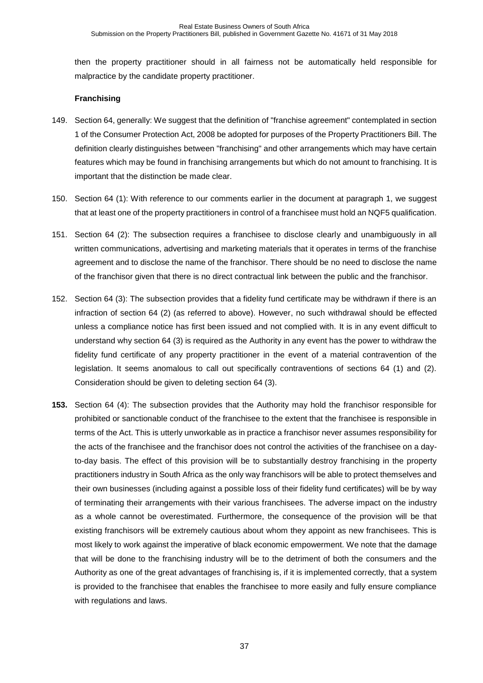then the property practitioner should in all fairness not be automatically held responsible for malpractice by the candidate property practitioner.

## **Franchising**

- 149. Section 64, generally: We suggest that the definition of "franchise agreement" contemplated in section 1 of the Consumer Protection Act, 2008 be adopted for purposes of the Property Practitioners Bill. The definition clearly distinguishes between "franchising" and other arrangements which may have certain features which may be found in franchising arrangements but which do not amount to franchising. It is important that the distinction be made clear.
- 150. Section 64 (1): With reference to our comments earlier in the document at paragraph [1,](#page-1-3) we suggest that at least one of the property practitioners in control of a franchisee must hold an NQF5 qualification.
- 151. Section 64 (2): The subsection requires a franchisee to disclose clearly and unambiguously in all written communications, advertising and marketing materials that it operates in terms of the franchise agreement and to disclose the name of the franchisor. There should be no need to disclose the name of the franchisor given that there is no direct contractual link between the public and the franchisor.
- 152. Section 64 (3): The subsection provides that a fidelity fund certificate may be withdrawn if there is an infraction of section 64 (2) (as referred to above). However, no such withdrawal should be effected unless a compliance notice has first been issued and not complied with. It is in any event difficult to understand why section 64 (3) is required as the Authority in any event has the power to withdraw the fidelity fund certificate of any property practitioner in the event of a material contravention of the legislation. It seems anomalous to call out specifically contraventions of sections 64 (1) and (2). Consideration should be given to deleting section 64 (3).
- **153.** Section 64 (4): The subsection provides that the Authority may hold the franchisor responsible for prohibited or sanctionable conduct of the franchisee to the extent that the franchisee is responsible in terms of the Act. This is utterly unworkable as in practice a franchisor never assumes responsibility for the acts of the franchisee and the franchisor does not control the activities of the franchisee on a dayto-day basis. The effect of this provision will be to substantially destroy franchising in the property practitioners industry in South Africa as the only way franchisors will be able to protect themselves and their own businesses (including against a possible loss of their fidelity fund certificates) will be by way of terminating their arrangements with their various franchisees. The adverse impact on the industry as a whole cannot be overestimated. Furthermore, the consequence of the provision will be that existing franchisors will be extremely cautious about whom they appoint as new franchisees. This is most likely to work against the imperative of black economic empowerment. We note that the damage that will be done to the franchising industry will be to the detriment of both the consumers and the Authority as one of the great advantages of franchising is, if it is implemented correctly, that a system is provided to the franchisee that enables the franchisee to more easily and fully ensure compliance with regulations and laws.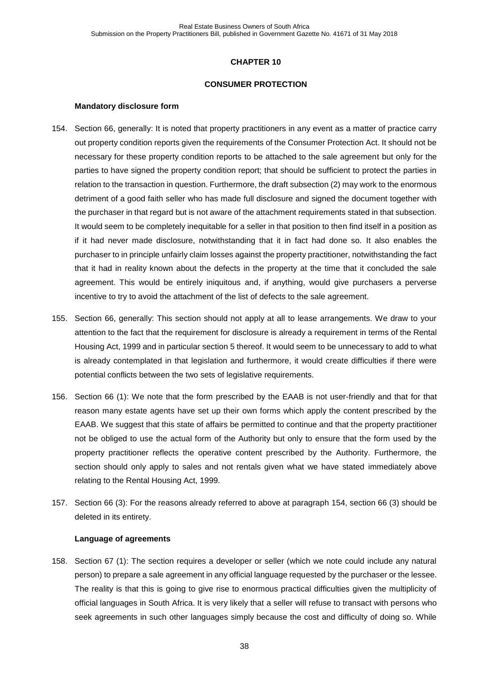#### **CONSUMER PROTECTION**

#### **Mandatory disclosure form**

- <span id="page-37-0"></span>154. Section 66, generally: It is noted that property practitioners in any event as a matter of practice carry out property condition reports given the requirements of the Consumer Protection Act. It should not be necessary for these property condition reports to be attached to the sale agreement but only for the parties to have signed the property condition report; that should be sufficient to protect the parties in relation to the transaction in question. Furthermore, the draft subsection (2) may work to the enormous detriment of a good faith seller who has made full disclosure and signed the document together with the purchaser in that regard but is not aware of the attachment requirements stated in that subsection. It would seem to be completely inequitable for a seller in that position to then find itself in a position as if it had never made disclosure, notwithstanding that it in fact had done so. It also enables the purchaser to in principle unfairly claim losses against the property practitioner, notwithstanding the fact that it had in reality known about the defects in the property at the time that it concluded the sale agreement. This would be entirely iniquitous and, if anything, would give purchasers a perverse incentive to try to avoid the attachment of the list of defects to the sale agreement.
- 155. Section 66, generally: This section should not apply at all to lease arrangements. We draw to your attention to the fact that the requirement for disclosure is already a requirement in terms of the Rental Housing Act, 1999 and in particular section 5 thereof. It would seem to be unnecessary to add to what is already contemplated in that legislation and furthermore, it would create difficulties if there were potential conflicts between the two sets of legislative requirements.
- 156. Section 66 (1): We note that the form prescribed by the EAAB is not user-friendly and that for that reason many estate agents have set up their own forms which apply the content prescribed by the EAAB. We suggest that this state of affairs be permitted to continue and that the property practitioner not be obliged to use the actual form of the Authority but only to ensure that the form used by the property practitioner reflects the operative content prescribed by the Authority. Furthermore, the section should only apply to sales and not rentals given what we have stated immediately above relating to the Rental Housing Act, 1999.
- 157. Section 66 (3): For the reasons already referred to above at paragraph [154,](#page-37-0) section 66 (3) should be deleted in its entirety.

#### **Language of agreements**

158. Section 67 (1): The section requires a developer or seller (which we note could include any natural person) to prepare a sale agreement in any official language requested by the purchaser or the lessee. The reality is that this is going to give rise to enormous practical difficulties given the multiplicity of official languages in South Africa. It is very likely that a seller will refuse to transact with persons who seek agreements in such other languages simply because the cost and difficulty of doing so. While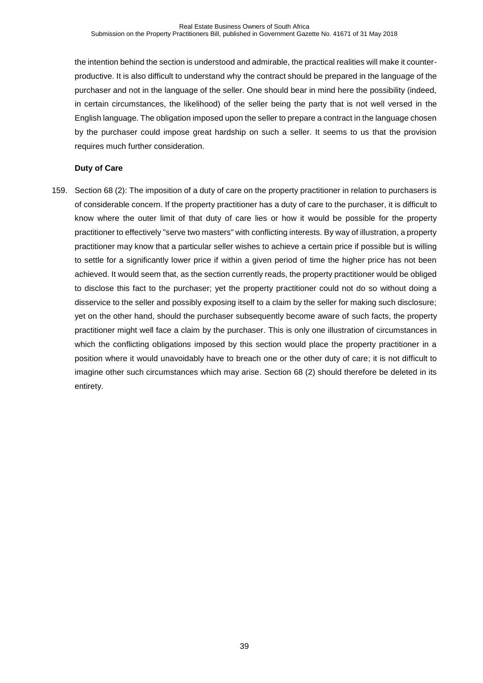the intention behind the section is understood and admirable, the practical realities will make it counterproductive. It is also difficult to understand why the contract should be prepared in the language of the purchaser and not in the language of the seller. One should bear in mind here the possibility (indeed, in certain circumstances, the likelihood) of the seller being the party that is not well versed in the English language. The obligation imposed upon the seller to prepare a contract in the language chosen by the purchaser could impose great hardship on such a seller. It seems to us that the provision requires much further consideration.

## **Duty of Care**

159. Section 68 (2): The imposition of a duty of care on the property practitioner in relation to purchasers is of considerable concern. If the property practitioner has a duty of care to the purchaser, it is difficult to know where the outer limit of that duty of care lies or how it would be possible for the property practitioner to effectively "serve two masters" with conflicting interests. By way of illustration, a property practitioner may know that a particular seller wishes to achieve a certain price if possible but is willing to settle for a significantly lower price if within a given period of time the higher price has not been achieved. It would seem that, as the section currently reads, the property practitioner would be obliged to disclose this fact to the purchaser; yet the property practitioner could not do so without doing a disservice to the seller and possibly exposing itself to a claim by the seller for making such disclosure; yet on the other hand, should the purchaser subsequently become aware of such facts, the property practitioner might well face a claim by the purchaser. This is only one illustration of circumstances in which the conflicting obligations imposed by this section would place the property practitioner in a position where it would unavoidably have to breach one or the other duty of care; it is not difficult to imagine other such circumstances which may arise. Section 68 (2) should therefore be deleted in its entirety.